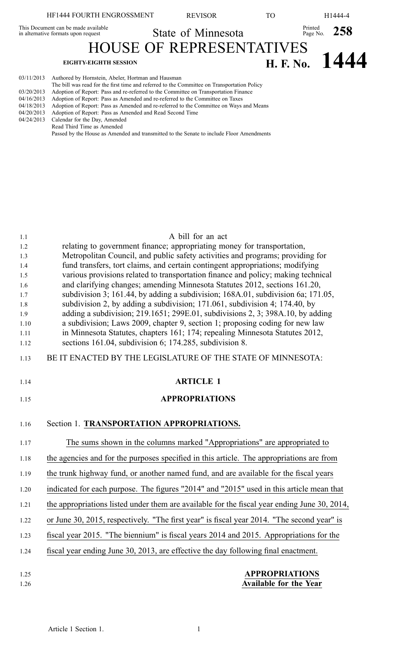|                          | HF1444 FOURTH ENGROSSMENT                                                                                                                                                                                                                | <b>REVISOR</b>                  | TO. |                        | H1444-4          |
|--------------------------|------------------------------------------------------------------------------------------------------------------------------------------------------------------------------------------------------------------------------------------|---------------------------------|-----|------------------------|------------------|
|                          | This Document can be made available<br>in alternative formats upon request                                                                                                                                                               | State of Minnesota              |     | Printed Page No. $258$ |                  |
|                          |                                                                                                                                                                                                                                          | <b>HOUSE OF REPRESENTATIVES</b> |     |                        |                  |
|                          | <b>EIGHTY-EIGHTH SESSION</b>                                                                                                                                                                                                             |                                 |     |                        | H. F. No. $1444$ |
| 03/11/2013<br>03/20/2013 | Authored by Hornstein, Abeler, Hortman and Hausman<br>The bill was read for the first time and referred to the Committee on Transportation Policy<br>Adoption of Report: Pass and re-referred to the Committee on Transportation Einance |                                 |     |                        |                  |

- 03/20/2013 Adoption of Report: Pass and re-referred to the Committee on Transportation Finance 04/16/2013 Adoption of Report: Pass as Amended and re-referred to the Committee on Taxes
- 04/18/2013 Adoption of Report: Pass as Amended and re-referred to the Committee on Ways and Means
- 
- 04/20/2013 Adoption of Report: Pass as Amended and Read Second Time 04/24/2013 Calendar for the Day, Amended
- Read Third Time as Amended
	- Passed by the House as Amended and transmitted to the Senate to include Floor Amendments

| 1.1        | A bill for an act                                                                                                                                              |
|------------|----------------------------------------------------------------------------------------------------------------------------------------------------------------|
| 1.2        | relating to government finance; appropriating money for transportation,                                                                                        |
| 1.3        | Metropolitan Council, and public safety activities and programs; providing for                                                                                 |
| 1.4        | fund transfers, tort claims, and certain contingent appropriations; modifying                                                                                  |
| 1.5        | various provisions related to transportation finance and policy; making technical                                                                              |
| 1.6        | and clarifying changes; amending Minnesota Statutes 2012, sections 161.20,                                                                                     |
| 1.7<br>1.8 | subdivision 3; 161.44, by adding a subdivision; 168A.01, subdivision 6a; 171.05,<br>subdivision 2, by adding a subdivision; 171.061, subdivision 4; 174.40, by |
| 1.9        | adding a subdivision; 219.1651; 299E.01, subdivisions 2, 3; 398A.10, by adding                                                                                 |
| 1.10       | a subdivision; Laws 2009, chapter 9, section 1; proposing coding for new law                                                                                   |
| 1.11       | in Minnesota Statutes, chapters 161; 174; repealing Minnesota Statutes 2012,                                                                                   |
| 1.12       | sections 161.04, subdivision 6; 174.285, subdivision 8.                                                                                                        |
| 1.13       | BE IT ENACTED BY THE LEGISLATURE OF THE STATE OF MINNESOTA:                                                                                                    |
| 1.14       | <b>ARTICLE 1</b>                                                                                                                                               |
| 1.15       | <b>APPROPRIATIONS</b>                                                                                                                                          |
| 1.16       | Section 1. TRANSPORTATION APPROPRIATIONS.                                                                                                                      |
| 1.17       | The sums shown in the columns marked "Appropriations" are appropriated to                                                                                      |
| 1.18       | the agencies and for the purposes specified in this article. The appropriations are from                                                                       |
| 1.19       | the trunk highway fund, or another named fund, and are available for the fiscal years                                                                          |
| 1.20       | indicated for each purpose. The figures "2014" and "2015" used in this article mean that                                                                       |
| 1.21       | the appropriations listed under them are available for the fiscal year ending June 30, 2014,                                                                   |
| 1.22       | or June 30, 2015, respectively. "The first year" is fiscal year 2014. "The second year" is                                                                     |
| 1.23       | fiscal year 2015. "The biennium" is fiscal years 2014 and 2015. Appropriations for the                                                                         |
| 1.24       | fiscal year ending June 30, 2013, are effective the day following final enactment.                                                                             |
| 1.25       | <b>APPROPRIATIONS</b>                                                                                                                                          |
| 1.26       | <b>Available for the Year</b>                                                                                                                                  |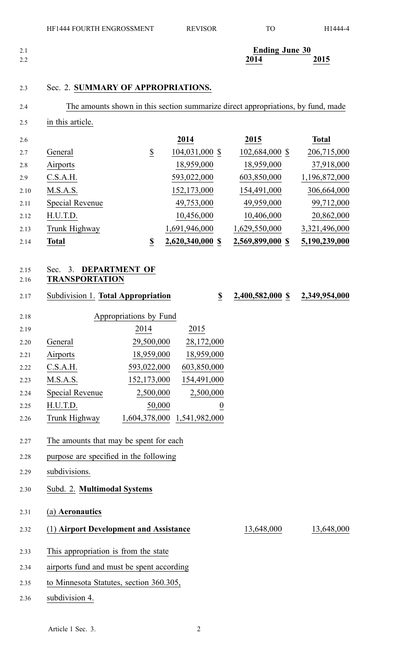| 2.1 | <b>Ending June 30</b> |      |
|-----|-----------------------|------|
| 2.2 | 2014                  | 2015 |

## 2.3 Sec. 2. **SUMMARY OF APPROPRIATIONS.**

2.5 in this article.

| 2.6  |                 |                          | 2014             | 2015             | <b>Total</b>  |
|------|-----------------|--------------------------|------------------|------------------|---------------|
| 2.7  | General         | $\overline{\mathcal{E}}$ | 104,031,000 \$   | 102,684,000 \$   | 206,715,000   |
| 2.8  | Airports        |                          | 18,959,000       | 18,959,000       | 37,918,000    |
| 2.9  | C.S.A.H.        |                          | 593,022,000      | 603,850,000      | 1,196,872,000 |
| 2.10 | M.S.A.S.        |                          | 152,173,000      | 154,491,000      | 306,664,000   |
| 2.11 | Special Revenue |                          | 49,753,000       | 49,959,000       | 99,712,000    |
| 2.12 | H.U.T.D.        |                          | 10,456,000       | 10,406,000       | 20,862,000    |
| 2.13 | Trunk Highway   |                          | 1,691,946,000    | 1,629,550,000    | 3,321,496,000 |
| 2.14 | Total           | \$                       | 2,620,340,000 \$ | 2,569,899,000 \$ | 5,190,239,000 |

## 2.15 Sec. 3. **DEPARTMENT OF**

## 2.16 **TRANSPORTATION**

2.17 Subdivision 1. **Total Appropriation \$ 2,400,582,000 \$ 2,349,954,000**

| 2.18 |                 | Appropriations by Fund |                  |
|------|-----------------|------------------------|------------------|
| 2.19 |                 | 2014                   | 2015             |
| 2.20 | General         | 29,500,000             | 28,172,000       |
| 2.21 | Airports        | 18,959,000             | 18,959,000       |
| 2.22 | C.S.A.H.        | 593,022,000            | 603,850,000      |
| 2.23 | M.S.A.S.        | 152,173,000            | 154,491,000      |
| 2.24 | Special Revenue | 2,500,000              | 2,500,000        |
| 2.25 | H.U.T.D.        | 50,000                 | $\boldsymbol{0}$ |
| 2.26 | Trunk Highway   | 1,604,378,000          | 1,541,982,000    |

# 2.27 The amounts that may be spen<sup>t</sup> for each

- 2.28 purpose are specified in the following
- 2.29 subdivisions.
- 2.30 Subd. 2. **Multimodal Systems**

2.31 (a) **Aeronautics**

2.32 (1) **Airport Development and Assistance** 13,648,000 13,648,000

- 2.33 This appropriation is from the state
- 2.34 airports fund and must be spen<sup>t</sup> according
- 2.35 to Minnesota Statutes, section 360.305,
- 2.36 subdivision 4.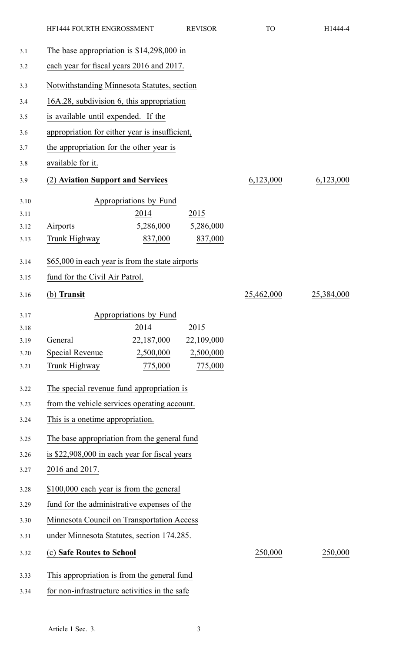|                                             |                                   | <b>REVISOR</b>                                                                                                                                                                                                                                                                                                      | <b>TO</b>                                                                                                                                                                                                                                                                                                                                                                                                                                                                                                                                                                                                                                                                                  | H1444-4    |
|---------------------------------------------|-----------------------------------|---------------------------------------------------------------------------------------------------------------------------------------------------------------------------------------------------------------------------------------------------------------------------------------------------------------------|--------------------------------------------------------------------------------------------------------------------------------------------------------------------------------------------------------------------------------------------------------------------------------------------------------------------------------------------------------------------------------------------------------------------------------------------------------------------------------------------------------------------------------------------------------------------------------------------------------------------------------------------------------------------------------------------|------------|
|                                             |                                   |                                                                                                                                                                                                                                                                                                                     |                                                                                                                                                                                                                                                                                                                                                                                                                                                                                                                                                                                                                                                                                            |            |
|                                             |                                   |                                                                                                                                                                                                                                                                                                                     |                                                                                                                                                                                                                                                                                                                                                                                                                                                                                                                                                                                                                                                                                            |            |
|                                             |                                   |                                                                                                                                                                                                                                                                                                                     |                                                                                                                                                                                                                                                                                                                                                                                                                                                                                                                                                                                                                                                                                            |            |
|                                             |                                   |                                                                                                                                                                                                                                                                                                                     |                                                                                                                                                                                                                                                                                                                                                                                                                                                                                                                                                                                                                                                                                            |            |
|                                             |                                   |                                                                                                                                                                                                                                                                                                                     |                                                                                                                                                                                                                                                                                                                                                                                                                                                                                                                                                                                                                                                                                            |            |
|                                             |                                   |                                                                                                                                                                                                                                                                                                                     |                                                                                                                                                                                                                                                                                                                                                                                                                                                                                                                                                                                                                                                                                            |            |
|                                             |                                   |                                                                                                                                                                                                                                                                                                                     |                                                                                                                                                                                                                                                                                                                                                                                                                                                                                                                                                                                                                                                                                            |            |
| available for it.                           |                                   |                                                                                                                                                                                                                                                                                                                     |                                                                                                                                                                                                                                                                                                                                                                                                                                                                                                                                                                                                                                                                                            |            |
|                                             |                                   |                                                                                                                                                                                                                                                                                                                     | 6,123,000                                                                                                                                                                                                                                                                                                                                                                                                                                                                                                                                                                                                                                                                                  | 6,123,000  |
| Airports<br>Trunk Highway                   | 2014<br>5,286,000<br>837,000      | 2015<br>5,286,000<br>837,000                                                                                                                                                                                                                                                                                        |                                                                                                                                                                                                                                                                                                                                                                                                                                                                                                                                                                                                                                                                                            |            |
|                                             |                                   |                                                                                                                                                                                                                                                                                                                     |                                                                                                                                                                                                                                                                                                                                                                                                                                                                                                                                                                                                                                                                                            |            |
|                                             |                                   |                                                                                                                                                                                                                                                                                                                     |                                                                                                                                                                                                                                                                                                                                                                                                                                                                                                                                                                                                                                                                                            |            |
| (b) Transit                                 |                                   |                                                                                                                                                                                                                                                                                                                     | 25,462,000                                                                                                                                                                                                                                                                                                                                                                                                                                                                                                                                                                                                                                                                                 | 25,384,000 |
|                                             |                                   |                                                                                                                                                                                                                                                                                                                     |                                                                                                                                                                                                                                                                                                                                                                                                                                                                                                                                                                                                                                                                                            |            |
|                                             | 2014                              | 2015                                                                                                                                                                                                                                                                                                                |                                                                                                                                                                                                                                                                                                                                                                                                                                                                                                                                                                                                                                                                                            |            |
|                                             |                                   |                                                                                                                                                                                                                                                                                                                     |                                                                                                                                                                                                                                                                                                                                                                                                                                                                                                                                                                                                                                                                                            |            |
| Trunk Highway                               |                                   | 775,000                                                                                                                                                                                                                                                                                                             |                                                                                                                                                                                                                                                                                                                                                                                                                                                                                                                                                                                                                                                                                            |            |
|                                             |                                   |                                                                                                                                                                                                                                                                                                                     |                                                                                                                                                                                                                                                                                                                                                                                                                                                                                                                                                                                                                                                                                            |            |
|                                             |                                   |                                                                                                                                                                                                                                                                                                                     |                                                                                                                                                                                                                                                                                                                                                                                                                                                                                                                                                                                                                                                                                            |            |
|                                             |                                   |                                                                                                                                                                                                                                                                                                                     |                                                                                                                                                                                                                                                                                                                                                                                                                                                                                                                                                                                                                                                                                            |            |
|                                             |                                   |                                                                                                                                                                                                                                                                                                                     |                                                                                                                                                                                                                                                                                                                                                                                                                                                                                                                                                                                                                                                                                            |            |
|                                             |                                   |                                                                                                                                                                                                                                                                                                                     |                                                                                                                                                                                                                                                                                                                                                                                                                                                                                                                                                                                                                                                                                            |            |
| 2016 and 2017.                              |                                   |                                                                                                                                                                                                                                                                                                                     |                                                                                                                                                                                                                                                                                                                                                                                                                                                                                                                                                                                                                                                                                            |            |
| \$100,000 each year is from the general     |                                   |                                                                                                                                                                                                                                                                                                                     |                                                                                                                                                                                                                                                                                                                                                                                                                                                                                                                                                                                                                                                                                            |            |
| fund for the administrative expenses of the |                                   |                                                                                                                                                                                                                                                                                                                     |                                                                                                                                                                                                                                                                                                                                                                                                                                                                                                                                                                                                                                                                                            |            |
| Minnesota Council on Transportation Access  |                                   |                                                                                                                                                                                                                                                                                                                     |                                                                                                                                                                                                                                                                                                                                                                                                                                                                                                                                                                                                                                                                                            |            |
|                                             |                                   |                                                                                                                                                                                                                                                                                                                     |                                                                                                                                                                                                                                                                                                                                                                                                                                                                                                                                                                                                                                                                                            |            |
|                                             |                                   |                                                                                                                                                                                                                                                                                                                     | 250,000                                                                                                                                                                                                                                                                                                                                                                                                                                                                                                                                                                                                                                                                                    | 250,000    |
|                                             |                                   |                                                                                                                                                                                                                                                                                                                     |                                                                                                                                                                                                                                                                                                                                                                                                                                                                                                                                                                                                                                                                                            |            |
|                                             |                                   |                                                                                                                                                                                                                                                                                                                     |                                                                                                                                                                                                                                                                                                                                                                                                                                                                                                                                                                                                                                                                                            |            |
|                                             | General<br><b>Special Revenue</b> | HF1444 FOURTH ENGROSSMENT<br>is available until expended. If the<br>the appropriation for the other year is<br>(2) Aviation Support and Services<br>fund for the Civil Air Patrol.<br>Appropriations by Fund<br>22,187,000<br>2,500,000<br>775,000<br>This is a onetime appropriation.<br>(c) Safe Routes to School | The base appropriation is $$14,298,000$ in<br>each year for fiscal years 2016 and 2017.<br>Notwithstanding Minnesota Statutes, section<br>16A.28, subdivision 6, this appropriation<br>appropriation for either year is insufficient,<br>Appropriations by Fund<br>\$65,000 in each year is from the state airports<br>22,109,000<br>2,500,000<br>The special revenue fund appropriation is<br>from the vehicle services operating account.<br>The base appropriation from the general fund<br>is \$22,908,000 in each year for fiscal years<br>under Minnesota Statutes, section 174.285.<br>This appropriation is from the general fund<br>for non-infrastructure activities in the safe |            |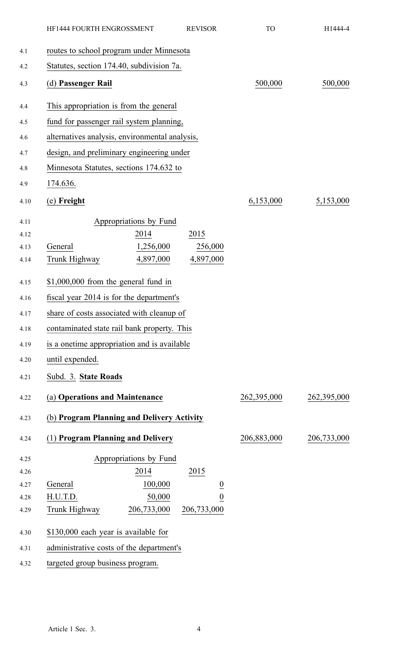|      | HF1444 FOURTH ENGROSSMENT                      |                        | <b>REVISOR</b> | <b>TO</b>   | H1444-4     |
|------|------------------------------------------------|------------------------|----------------|-------------|-------------|
| 4.1  | routes to school program under Minnesota       |                        |                |             |             |
| 4.2  | Statutes, section 174.40, subdivision 7a.      |                        |                |             |             |
| 4.3  | (d) Passenger Rail                             |                        |                | 500,000     | 500,000     |
| 4.4  | This appropriation is from the general         |                        |                |             |             |
| 4.5  | fund for passenger rail system planning,       |                        |                |             |             |
| 4.6  | alternatives analysis, environmental analysis, |                        |                |             |             |
| 4.7  | design, and preliminary engineering under      |                        |                |             |             |
| 4.8  | Minnesota Statutes, sections 174.632 to        |                        |                |             |             |
| 4.9  | 174.636.                                       |                        |                |             |             |
| 4.10 | (e) Freight                                    |                        |                | 6,153,000   | 5,153,000   |
| 4.11 |                                                | Appropriations by Fund |                |             |             |
| 4.12 |                                                | 2014                   | 2015           |             |             |
| 4.13 | General                                        | 1,256,000              | 256,000        |             |             |
| 4.14 | Trunk Highway                                  | 4,897,000              | 4,897,000      |             |             |
| 4.15 | $$1,000,000$ from the general fund in          |                        |                |             |             |
| 4.16 | fiscal year 2014 is for the department's       |                        |                |             |             |
| 4.17 | share of costs associated with cleanup of      |                        |                |             |             |
| 4.18 | contaminated state rail bank property. This    |                        |                |             |             |
| 4.19 | is a onetime appropriation and is available    |                        |                |             |             |
| 4.20 | until expended.                                |                        |                |             |             |
| 4.21 | Subd. 3. State Roads                           |                        |                |             |             |
| 4.22 | (a) Operations and Maintenance                 |                        |                | 262,395,000 | 262,395,000 |
| 4.23 | (b) Program Planning and Delivery Activity     |                        |                |             |             |
| 4.24 | (1) Program Planning and Delivery              |                        |                | 206,883,000 | 206,733,000 |
| 4.25 |                                                | Appropriations by Fund |                |             |             |
| 4.26 |                                                | 2014                   | 2015           |             |             |
| 4.27 | General                                        | 100,000                |                |             |             |
| 4.28 | H.U.T.D.                                       | 50,000                 | $\frac{0}{0}$  |             |             |
| 4.29 | Trunk Highway                                  | 206,733,000            | 206,733,000    |             |             |
| 4.30 | \$130,000 each year is available for           |                        |                |             |             |
| 4.31 | administrative costs of the department's       |                        |                |             |             |
| 4.32 | targeted group business program.               |                        |                |             |             |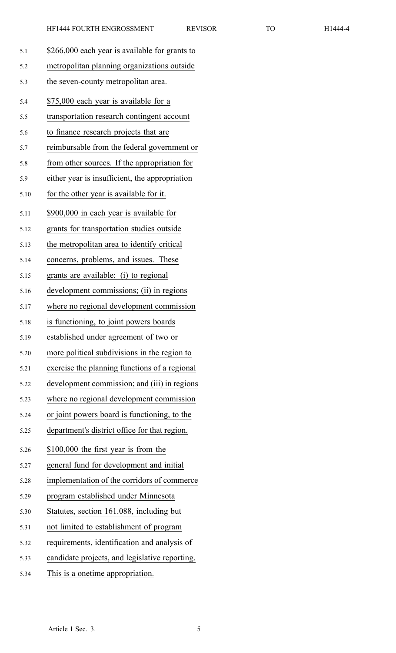| 5.1  | \$266,000 each year is available for grants to |
|------|------------------------------------------------|
| 5.2  | metropolitan planning organizations outside    |
| 5.3  | the seven-county metropolitan area.            |
| 5.4  | \$75,000 each year is available for a          |
| 5.5  | transportation research contingent account     |
| 5.6  | to finance research projects that are          |
| 5.7  | reimbursable from the federal government or    |
| 5.8  | from other sources. If the appropriation for   |
| 5.9  | either year is insufficient, the appropriation |
| 5.10 | for the other year is available for it.        |
| 5.11 | \$900,000 in each year is available for        |
| 5.12 | grants for transportation studies outside      |
| 5.13 | the metropolitan area to identify critical     |
| 5.14 | concerns, problems, and issues. These          |
| 5.15 | grants are available: (i) to regional          |
| 5.16 | development commissions; (ii) in regions       |
| 5.17 | where no regional development commission       |
| 5.18 | is functioning, to joint powers boards         |
| 5.19 | established under agreement of two or          |
| 5.20 | more political subdivisions in the region to   |
| 5.21 | exercise the planning functions of a regional  |
| 5.22 | development commission; and (iii) in regions   |
| 5.23 | where no regional development commission       |
| 5.24 | or joint powers board is functioning, to the   |
| 5.25 | department's district office for that region.  |
| 5.26 | \$100,000 the first year is from the           |
| 5.27 | general fund for development and initial       |
| 5.28 | implementation of the corridors of commerce    |
| 5.29 | program established under Minnesota            |
| 5.30 | Statutes, section 161.088, including but       |
| 5.31 | not limited to establishment of program        |
| 5.32 | requirements, identification and analysis of   |
| 5.33 | candidate projects, and legislative reporting. |
| 5.34 | This is a onetime appropriation.               |
|      |                                                |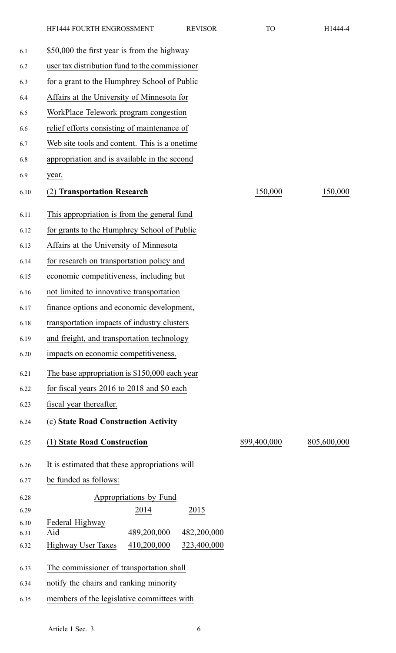| 6.1          | \$50,000 the first year is from the highway             |             |             |
|--------------|---------------------------------------------------------|-------------|-------------|
| 6.2          | user tax distribution fund to the commissioner          |             |             |
| 6.3          | for a grant to the Humphrey School of Public            |             |             |
| 6.4          | Affairs at the University of Minnesota for              |             |             |
| 6.5          | WorkPlace Telework program congestion                   |             |             |
| 6.6          | relief efforts consisting of maintenance of             |             |             |
| 6.7          | Web site tools and content. This is a onetime.          |             |             |
| 6.8          | appropriation and is available in the second            |             |             |
| 6.9          | year.                                                   |             |             |
| 6.10         | <b>Transportation Research</b>                          | 150,000     | 150,000     |
| 6.11         | This appropriation is from the general fund             |             |             |
| 6.12         | for grants to the Humphrey School of Public             |             |             |
| 6.13         | Affairs at the University of Minnesota                  |             |             |
| 6.14         | for research on transportation policy and               |             |             |
| 6.15         | economic competitiveness, including but                 |             |             |
| 6.16         | not limited to innovative transportation                |             |             |
| 6.17         | finance options and economic development,               |             |             |
| 6.18         | transportation impacts of industry clusters             |             |             |
| 6.19         | and freight, and transportation technology              |             |             |
| 6.20         | impacts on economic competitiveness.                    |             |             |
| 6.21         | The base appropriation is \$150,000 each year           |             |             |
| 6.22         | for fiscal years 2016 to 2018 and \$0 each              |             |             |
| 6.23         | fiscal year thereafter.                                 |             |             |
| 6.24         | (c) State Road Construction Activity                    |             |             |
| 6.25         | (1) State Road Construction                             | 899,400,000 | 805,600,000 |
| 6.26         | It is estimated that these appropriations will          |             |             |
| 6.27         | be funded as follows:                                   |             |             |
| 6.28         | Appropriations by Fund                                  |             |             |
| 6.29         | 2014<br>2015                                            |             |             |
| 6.30<br>6.31 | Federal Highway<br>489,200,000<br>Aid<br>482,200,000    |             |             |
| 6.32         | <b>Highway User Taxes</b><br>410,200,000<br>323,400,000 |             |             |
| 6.33         | The commissioner of transportation shall                |             |             |
| 6.34         | notify the chairs and ranking minority                  |             |             |
| 6.35         | members of the legislative committees with              |             |             |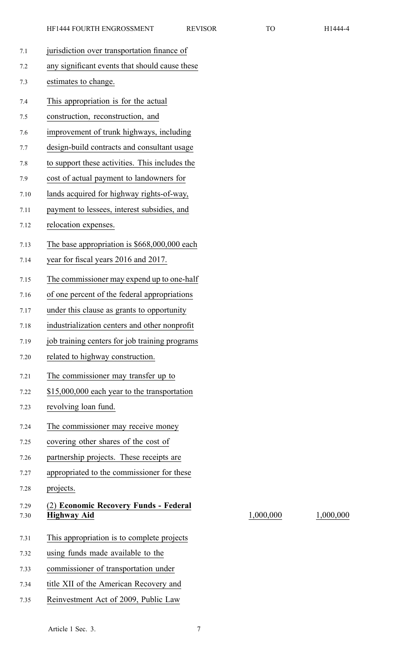- 
- 7.1 jurisdiction over transportation finance of 7.2 any significant events that should cause these 7.3 estimates to change. 7.4 This appropriation is for the actual 7.5 construction, reconstruction, and 7.6 improvement of trunk highways, including 7.7 design-build contracts and consultant usage 7.8 to suppor<sup>t</sup> these activities. This includes the 7.9 cost of actual paymen<sup>t</sup> to landowners for 7.10 lands acquired for highway rights-of-way, 7.11 paymen<sup>t</sup> to lessees, interest subsidies, and 7.12 relocation expenses. 7.13 The base appropriation is \$668,000,000 each 7.14 year for fiscal years 2016 and 2017. 7.15 The commissioner may expend up to one-half 7.16 of one percen<sup>t</sup> of the federal appropriations 7.17 under this clause as grants to opportunity 7.18 industrialization centers and other nonprofit 7.19 job training centers for job training programs 7.20 related to highway construction. 7.21 The commissioner may transfer up to 7.22 \$15,000,000 each year to the transportation 7.23 revolving loan fund. 7.24 The commissioner may receive money 7.25 covering other shares of the cost of 7.26 partnership projects. These receipts are 7.27 appropriated to the commissioner for these 7.28 projects. 7.29 (2) **Economic Recovery Funds - Federal** 7.30 **Highway Aid** 1,000,000 1,000,000 7.31 This appropriation is to complete projects 7.32 using funds made available to the 7.33 commissioner of transportation under 7.34 title XII of the American Recovery and 7.35 Reinvestment Act of 2009, Public Law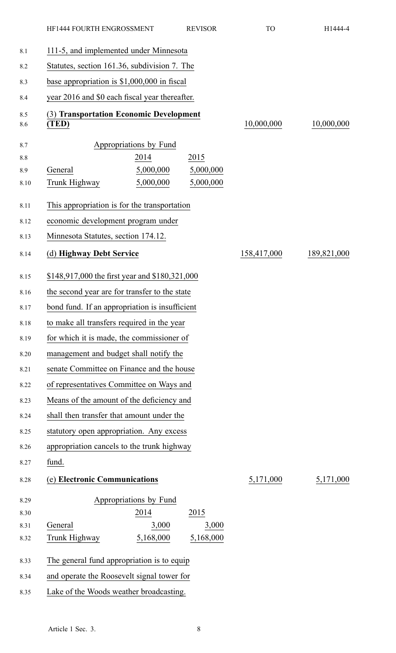|            | HF1444 FOURTH ENGROSSMENT<br><b>REVISOR</b>      | <b>TO</b>   | H1444-4     |
|------------|--------------------------------------------------|-------------|-------------|
| 8.1        | 111-5, and implemented under Minnesota           |             |             |
| 8.2        | Statutes, section 161.36, subdivision 7. The     |             |             |
| 8.3        | base appropriation is $$1,000,000$ in fiscal     |             |             |
| 8.4        | year 2016 and \$0 each fiscal year thereafter.   |             |             |
| 8.5<br>8.6 | (3) Transportation Economic Development<br>(TED) | 10,000,000  | 10,000,000  |
| 8.7        | Appropriations by Fund                           |             |             |
| 8.8        | 2014<br>2015                                     |             |             |
| 8.9        | General<br>5,000,000<br>5,000,000                |             |             |
| 8.10       | 5,000,000<br>5,000,000<br>Trunk Highway          |             |             |
| 8.11       | This appropriation is for the transportation     |             |             |
| 8.12       | economic development program under               |             |             |
| 8.13       | Minnesota Statutes, section 174.12.              |             |             |
| 8.14       | (d) Highway Debt Service                         | 158,417,000 | 189,821,000 |
| 8.15       | \$148,917,000 the first year and \$180,321,000   |             |             |
| 8.16       | the second year are for transfer to the state    |             |             |
| 8.17       | bond fund. If an appropriation is insufficient   |             |             |
| 8.18       | to make all transfers required in the year       |             |             |
| 8.19       | for which it is made, the commissioner of        |             |             |
| 8.20       | management and budget shall notify the           |             |             |
| 8.21       | senate Committee on Finance and the house        |             |             |
| 8.22       | of representatives Committee on Ways and         |             |             |
| 8.23       | Means of the amount of the deficiency and        |             |             |
| 8.24       | shall then transfer that amount under the        |             |             |
| 8.25       | statutory open appropriation. Any excess         |             |             |
| 8.26       | appropriation cancels to the trunk highway       |             |             |
| 8.27       | fund.                                            |             |             |
| 8.28       | (e) Electronic Communications                    | 5,171,000   | 5,171,000   |
| 8.29       | Appropriations by Fund                           |             |             |
| 8.30       | 2014<br>2015                                     |             |             |
| 8.31       | General<br>3,000<br>3,000                        |             |             |
| 8.32       | 5,168,000<br>5,168,000<br>Trunk Highway          |             |             |
| 8.33       | The general fund appropriation is to equip       |             |             |
| 8.34       | and operate the Roosevelt signal tower for       |             |             |
| 8.35       | Lake of the Woods weather broadcasting.          |             |             |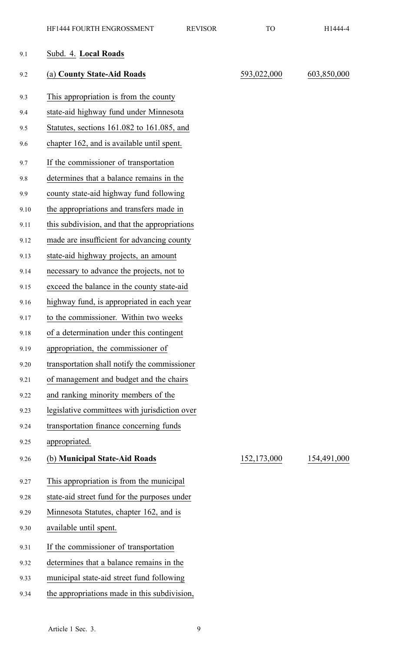| 9.1  | Subd. 4. Local Roads                          |             |             |
|------|-----------------------------------------------|-------------|-------------|
| 9.2  | (a) County State-Aid Roads                    | 593,022,000 | 603,850,000 |
| 9.3  | This appropriation is from the county         |             |             |
| 9.4  | state-aid highway fund under Minnesota        |             |             |
| 9.5  | Statutes, sections 161.082 to 161.085, and    |             |             |
| 9.6  | chapter 162, and is available until spent.    |             |             |
| 9.7  | If the commissioner of transportation         |             |             |
| 9.8  | determines that a balance remains in the      |             |             |
| 9.9  | county state-aid highway fund following       |             |             |
| 9.10 | the appropriations and transfers made in      |             |             |
| 9.11 | this subdivision, and that the appropriations |             |             |
| 9.12 | made are insufficient for advancing county    |             |             |
| 9.13 | state-aid highway projects, an amount         |             |             |
| 9.14 | necessary to advance the projects, not to     |             |             |
| 9.15 | exceed the balance in the county state-aid    |             |             |
| 9.16 | highway fund, is appropriated in each year    |             |             |
| 9.17 | to the commissioner. Within two weeks         |             |             |
| 9.18 | of a determination under this contingent      |             |             |
| 9.19 | appropriation, the commissioner of            |             |             |
| 9.20 | transportation shall notify the commissioner  |             |             |
| 9.21 | of management and budget and the chairs       |             |             |
| 9.22 | and ranking minority members of the           |             |             |
| 9.23 | legislative committees with jurisdiction over |             |             |
| 9.24 | transportation finance concerning funds       |             |             |
| 9.25 | appropriated.                                 |             |             |
| 9.26 | (b) Municipal State-Aid Roads                 | 152,173,000 | 154,491,000 |
| 9.27 | This appropriation is from the municipal      |             |             |
| 9.28 | state-aid street fund for the purposes under  |             |             |
| 9.29 | Minnesota Statutes, chapter 162, and is       |             |             |
| 9.30 | available until spent.                        |             |             |
| 9.31 | If the commissioner of transportation         |             |             |
| 9.32 | determines that a balance remains in the      |             |             |
| 9.33 | municipal state-aid street fund following     |             |             |
| 9.34 | the appropriations made in this subdivision,  |             |             |
|      |                                               |             |             |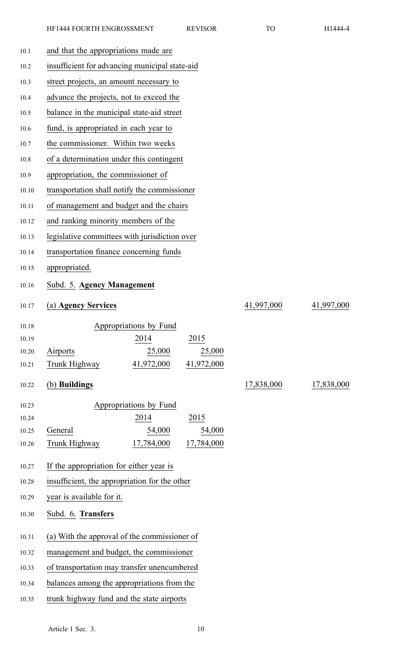| 10.1  | and that the appropriations made are           |            |            |
|-------|------------------------------------------------|------------|------------|
| 10.2  | insufficient for advancing municipal state-aid |            |            |
| 10.3  | street projects, an amount necessary to        |            |            |
| 10.4  | advance the projects, not to exceed the        |            |            |
| 10.5  | balance in the municipal state-aid street      |            |            |
| 10.6  | fund, is appropriated in each year to          |            |            |
| 10.7  | the commissioner. Within two weeks             |            |            |
| 10.8  | of a determination under this contingent       |            |            |
| 10.9  | appropriation, the commissioner of             |            |            |
| 10.10 | transportation shall notify the commissioner   |            |            |
| 10.11 | of management and budget and the chairs        |            |            |
| 10.12 | and ranking minority members of the            |            |            |
| 10.13 | legislative committees with jurisdiction over  |            |            |
| 10.14 | transportation finance concerning funds        |            |            |
| 10.15 | appropriated.                                  |            |            |
| 10.16 | Subd. 5. Agency Management                     |            |            |
| 10.17 | (a) Agency Services                            | 41,997,000 | 41,997,000 |
| 10.18 | Appropriations by Fund                         |            |            |
| 10.19 | 2014<br>2015                                   |            |            |
| 10.20 | 25,000<br>25,000<br>Airports                   |            |            |
| 10.21 | 41,972,000<br>41,972,000<br>Trunk Highway      |            |            |
| 10.22 | (b) Buildings                                  | 17,838,000 | 17,838,000 |
| 10.23 | Appropriations by Fund                         |            |            |
| 10.24 | 2014<br>2015                                   |            |            |
| 10.25 | 54,000<br>54,000<br>General                    |            |            |
| 10.26 | 17,784,000<br>Trunk Highway<br>17,784,000      |            |            |
| 10.27 | If the appropriation for either year is        |            |            |
| 10.28 | insufficient, the appropriation for the other  |            |            |
| 10.29 | year is available for it.                      |            |            |
| 10.30 | Subd. 6. Transfers                             |            |            |
| 10.31 | (a) With the approval of the commissioner of   |            |            |
| 10.32 | management and budget, the commissioner        |            |            |
| 10.33 | of transportation may transfer unencumbered    |            |            |
| 10.34 | balances among the appropriations from the     |            |            |
| 10.35 | trunk highway fund and the state airports      |            |            |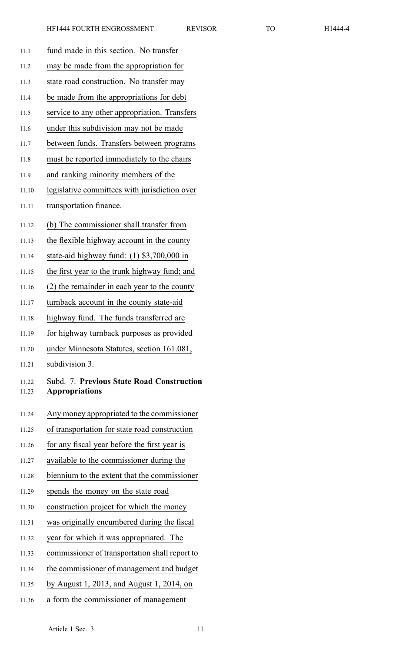| 11.1           | fund made in this section. No transfer                             |
|----------------|--------------------------------------------------------------------|
| 11.2           | may be made from the appropriation for                             |
| 11.3           | state road construction. No transfer may                           |
| 11.4           | be made from the appropriations for debt                           |
| 11.5           | service to any other appropriation. Transfers                      |
| 11.6           | under this subdivision may not be made                             |
| 11.7           | between funds. Transfers between programs                          |
| 11.8           | must be reported immediately to the chairs                         |
| 11.9           | and ranking minority members of the                                |
| 11.10          | legislative committees with jurisdiction over                      |
| 11.11          | transportation finance.                                            |
| 11.12          | (b) The commissioner shall transfer from                           |
| 11.13          | the flexible highway account in the county                         |
| 11.14          | state-aid highway fund: $(1)$ \$3,700,000 in                       |
| 11.15          | the first year to the trunk highway fund; and                      |
| 11.16          | (2) the remainder in each year to the county                       |
| 11.17          | turnback account in the county state-aid                           |
| 11.18          | highway fund. The funds transferred are                            |
| 11.19          | for highway turnback purposes as provided                          |
| 11.20          | under Minnesota Statutes, section 161.081,                         |
| 11.21          | subdivision 3.                                                     |
| 11.22<br>11.23 | Subd. 7. Previous State Road Construction<br><b>Appropriations</b> |
| 11.24          | Any money appropriated to the commissioner                         |
| 11.25          | of transportation for state road construction                      |
| 11.26          | for any fiscal year before the first year is                       |
| 11.27          | available to the commissioner during the                           |
| 11.28          | biennium to the extent that the commissioner                       |
| 11.29          | spends the money on the state road                                 |
| 11.30          | construction project for which the money                           |
| 11.31          | was originally encumbered during the fiscal                        |
| 11.32          | year for which it was appropriated. The                            |
| 11.33          | commissioner of transportation shall report to                     |
| 11.34          | the commissioner of management and budget                          |
| 11.35          | by August 1, 2013, and August 1, 2014, on                          |

11.36 <sup>a</sup> form the commissioner of managemen<sup>t</sup>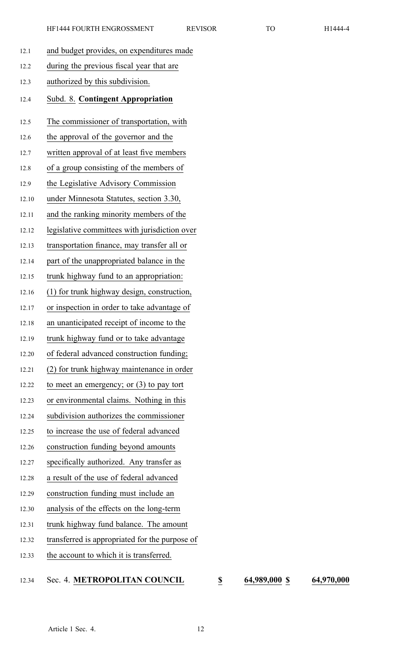| 12.1  | and budget provides, on expenditures made      |
|-------|------------------------------------------------|
| 12.2  | during the previous fiscal year that are       |
| 12.3  | authorized by this subdivision.                |
| 12.4  | Subd. 8. Contingent Appropriation              |
| 12.5  | The commissioner of transportation, with       |
| 12.6  | the approval of the governor and the           |
| 12.7  | written approval of at least five members      |
| 12.8  | of a group consisting of the members of        |
| 12.9  | the Legislative Advisory Commission            |
| 12.10 | under Minnesota Statutes, section 3.30,        |
| 12.11 | and the ranking minority members of the        |
| 12.12 | legislative committees with jurisdiction over  |
| 12.13 | transportation finance, may transfer all or    |
| 12.14 | part of the unappropriated balance in the      |
| 12.15 | trunk highway fund to an appropriation:        |
| 12.16 | (1) for trunk highway design, construction,    |
| 12.17 | or inspection in order to take advantage of    |
| 12.18 | an unanticipated receipt of income to the      |
| 12.19 | trunk highway fund or to take advantage        |
| 12.20 | of federal advanced construction funding;      |
| 12.21 | (2) for trunk highway maintenance in order     |
| 12.22 | to meet an emergency; or $(3)$ to pay tort     |
| 12.23 | or environmental claims. Nothing in this       |
| 12.24 | subdivision authorizes the commissioner        |
| 12.25 | to increase the use of federal advanced        |
| 12.26 | construction funding beyond amounts            |
| 12.27 | specifically authorized. Any transfer as       |
| 12.28 | a result of the use of federal advanced        |
| 12.29 | construction funding must include an           |
| 12.30 | analysis of the effects on the long-term       |
| 12.31 | trunk highway fund balance. The amount         |
| 12.32 | transferred is appropriated for the purpose of |
| 12.33 | the account to which it is transferred.        |

## 12.34 Sec. 4. **METROPOLITAN COUNCIL \$ 64,989,000 \$ 64,970,000**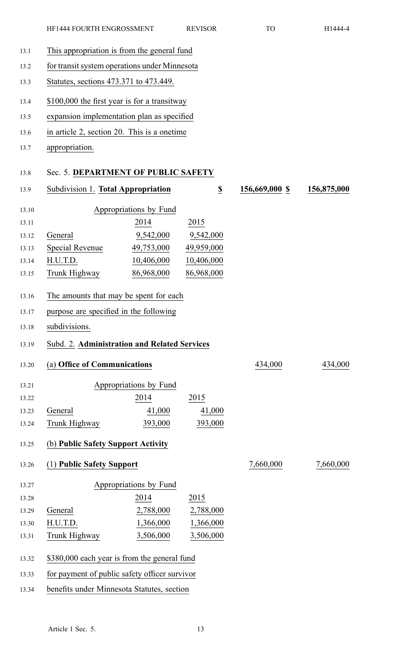13.1 This appropriation is from the general fund

| 13.2  | for transit system operations under Minnesota       |                        |                              |                |             |
|-------|-----------------------------------------------------|------------------------|------------------------------|----------------|-------------|
| 13.3  | Statutes, sections 473.371 to 473.449.              |                        |                              |                |             |
| 13.4  | \$100,000 the first year is for a transitway        |                        |                              |                |             |
| 13.5  | expansion implementation plan as specified          |                        |                              |                |             |
| 13.6  | in article 2, section 20. This is a onetime         |                        |                              |                |             |
| 13.7  | appropriation.                                      |                        |                              |                |             |
| 13.8  | Sec. 5. DEPARTMENT OF PUBLIC SAFETY                 |                        |                              |                |             |
| 13.9  | Subdivision 1. Total Appropriation                  |                        | $\underline{\underline{\$}}$ | 156,669,000 \$ | 156,875,000 |
| 13.10 |                                                     | Appropriations by Fund |                              |                |             |
| 13.11 |                                                     | 2014                   | 2015                         |                |             |
| 13.12 | General                                             | 9,542,000              | 9,542,000                    |                |             |
| 13.13 | <b>Special Revenue</b>                              | 49,753,000             | 49,959,000                   |                |             |
| 13.14 | H.U.T.D.                                            | 10,406,000             | 10,406,000                   |                |             |
| 13.15 | Trunk Highway                                       | 86,968,000             | 86,968,000                   |                |             |
| 13.16 | The amounts that may be spent for each              |                        |                              |                |             |
| 13.17 | purpose are specified in the following              |                        |                              |                |             |
| 13.18 | subdivisions.                                       |                        |                              |                |             |
| 13.19 | <b>Subd. 2. Administration and Related Services</b> |                        |                              |                |             |
| 13.20 | (a) Office of Communications                        |                        |                              | 434,000        | 434,000     |
| 13.21 |                                                     | Appropriations by Fund |                              |                |             |
| 13.22 |                                                     | 2014                   | 2015                         |                |             |
| 13.23 | General                                             | 41,000                 | 41,000                       |                |             |
| 13.24 | Trunk Highway                                       | 393,000                | 393,000                      |                |             |
| 13.25 | (b) Public Safety Support Activity                  |                        |                              |                |             |
| 13.26 | (1) Public Safety Support                           |                        |                              | 7,660,000      | 7,660,000   |
| 13.27 |                                                     | Appropriations by Fund |                              |                |             |
| 13.28 |                                                     | 2014                   | 2015                         |                |             |
| 13.29 | General                                             | 2,788,000              | 2,788,000                    |                |             |
| 13.30 | H.U.T.D.                                            | 1,366,000              | 1,366,000                    |                |             |
| 13.31 | Trunk Highway                                       | 3,506,000              | 3,506,000                    |                |             |

13.32 \$380,000 each year is from the general fund

- 13.33 for paymen<sup>t</sup> of public safety officer survivor
- 13.34 benefits under Minnesota Statutes, section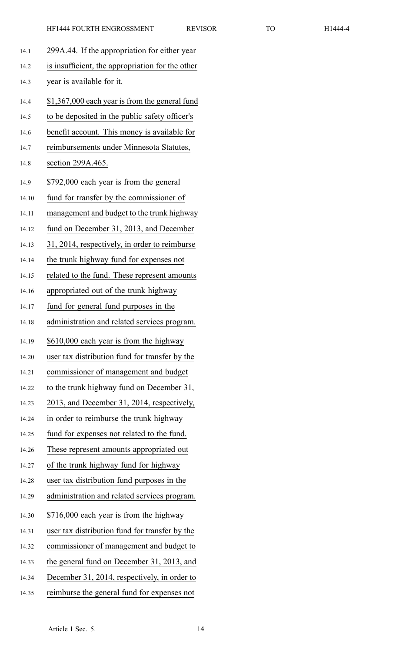| 14.1  | 299A.44. If the appropriation for either year    |
|-------|--------------------------------------------------|
| 14.2  | is insufficient, the appropriation for the other |
| 14.3  | year is available for it.                        |
| 14.4  | \$1,367,000 each year is from the general fund   |
| 14.5  | to be deposited in the public safety officer's   |
|       |                                                  |
| 14.6  | benefit account. This money is available for     |
| 14.7  | reimbursements under Minnesota Statutes,         |
| 14.8  | section 299A.465.                                |
| 14.9  | \$792,000 each year is from the general          |
| 14.10 | fund for transfer by the commissioner of         |
| 14.11 | management and budget to the trunk highway       |
| 14.12 | fund on December 31, 2013, and December          |
| 14.13 | 31, 2014, respectively, in order to reimburse    |
| 14.14 | the trunk highway fund for expenses not          |
| 14.15 | related to the fund. These represent amounts     |
| 14.16 | appropriated out of the trunk highway            |
| 14.17 | fund for general fund purposes in the            |
| 14.18 | administration and related services program.     |
| 14.19 | \$610,000 each year is from the highway          |
| 14.20 | user tax distribution fund for transfer by the   |
| 14.21 | commissioner of management and budget            |
| 14.22 | to the trunk highway fund on December 31,        |
| 14.23 | 2013, and December 31, 2014, respectively,       |
| 14.24 | in order to reimburse the trunk highway          |
| 14.25 | fund for expenses not related to the fund.       |
| 14.26 | These represent amounts appropriated out         |
| 14.27 | of the trunk highway fund for highway            |
| 14.28 | user tax distribution fund purposes in the       |
| 14.29 | administration and related services program.     |
| 14.30 | \$716,000 each year is from the highway          |
| 14.31 | user tax distribution fund for transfer by the   |
| 14.32 | commissioner of management and budget to         |
| 14.33 | the general fund on December 31, 2013, and       |
| 14.34 | December 31, 2014, respectively, in order to     |
| 14.35 | reimburse the general fund for expenses not      |
|       |                                                  |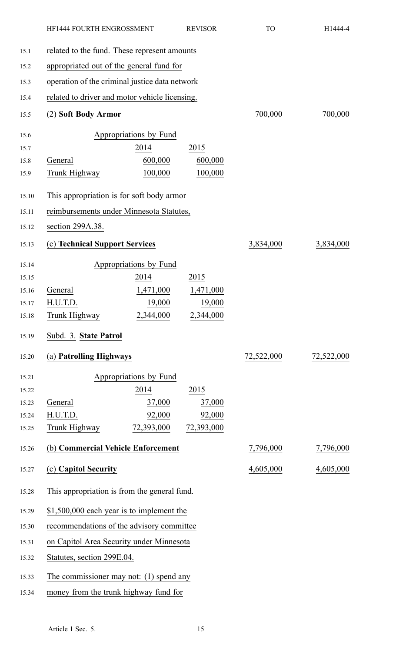| HF1444 FOURTH ENGROSSMENT                      |                        | <b>REVISOR</b> | <b>TO</b>  | H1444-4    |
|------------------------------------------------|------------------------|----------------|------------|------------|
| related to the fund. These represent amounts   |                        |                |            |            |
| appropriated out of the general fund for       |                        |                |            |            |
| operation of the criminal justice data network |                        |                |            |            |
| related to driver and motor vehicle licensing. |                        |                |            |            |
| (2) Soft Body Armor                            |                        |                | 700,000    | 700,000    |
|                                                | Appropriations by Fund |                |            |            |
|                                                | 2014                   | 2015           |            |            |
| General                                        | 600,000                | 600,000        |            |            |
| Trunk Highway                                  | 100,000                | 100,000        |            |            |
| This appropriation is for soft body armor      |                        |                |            |            |
| reimbursements under Minnesota Statutes,       |                        |                |            |            |
| section 299A.38.                               |                        |                |            |            |
| (c) Technical Support Services                 |                        |                | 3,834,000  | 3,834,000  |
|                                                | Appropriations by Fund |                |            |            |
|                                                | 2014                   | 2015           |            |            |
| General                                        | 1,471,000              | 1,471,000      |            |            |
| H.U.T.D.                                       | 19,000                 | 19,000         |            |            |
| Trunk Highway                                  | 2,344,000              | 2,344,000      |            |            |
| Subd. 3. State Patrol                          |                        |                |            |            |
| (a) Patrolling Highways                        |                        |                | 72,522,000 | 72,522,000 |
|                                                | Appropriations by Fund |                |            |            |
|                                                | 2014                   | 2015           |            |            |
| General                                        | 37,000                 | 37,000         |            |            |
| H.U.T.D.                                       | 92,000                 | 92,000         |            |            |
| Trunk Highway                                  | 72,393,000             | 72,393,000     |            |            |
| (b) Commercial Vehicle Enforcement             |                        |                | 7,796,000  | 7,796,000  |
| (c) Capitol Security                           |                        |                | 4,605,000  | 4,605,000  |
| This appropriation is from the general fund.   |                        |                |            |            |
| \$1,500,000 each year is to implement the      |                        |                |            |            |
| recommendations of the advisory committee      |                        |                |            |            |
| on Capitol Area Security under Minnesota       |                        |                |            |            |
| Statutes, section 299E.04.                     |                        |                |            |            |
| The commissioner may not: $(1)$ spend any      |                        |                |            |            |
| money from the trunk highway fund for          |                        |                |            |            |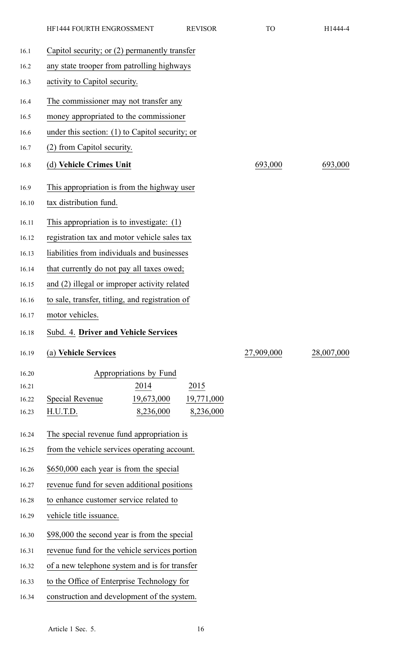|       | HF1444 FOURTH ENGROSSMENT                       | <b>REVISOR</b>                            | <b>TO</b>  | H1444-4    |
|-------|-------------------------------------------------|-------------------------------------------|------------|------------|
| 16.1  | Capitol security; or (2) permanently transfer   |                                           |            |            |
| 16.2  | any state trooper from patrolling highways      |                                           |            |            |
| 16.3  | activity to Capitol security.                   |                                           |            |            |
| 16.4  | The commissioner may not transfer any           |                                           |            |            |
| 16.5  | money appropriated to the commissioner          |                                           |            |            |
| 16.6  | under this section: (1) to Capitol security; or |                                           |            |            |
| 16.7  | (2) from Capitol security.                      |                                           |            |            |
| 16.8  | (d) Vehicle Crimes Unit                         |                                           | 693,000    | 693,000    |
| 16.9  | This appropriation is from the highway user     |                                           |            |            |
| 16.10 | tax distribution fund.                          |                                           |            |            |
| 16.11 | This appropriation is to investigate: $(1)$     |                                           |            |            |
| 16.12 | registration tax and motor vehicle sales tax    |                                           |            |            |
| 16.13 | liabilities from individuals and businesses     |                                           |            |            |
| 16.14 | that currently do not pay all taxes owed;       |                                           |            |            |
| 16.15 | and (2) illegal or improper activity related    |                                           |            |            |
| 16.16 | to sale, transfer, titling, and registration of |                                           |            |            |
| 16.17 | motor vehicles.                                 |                                           |            |            |
| 16.18 | Subd. 4. Driver and Vehicle Services            |                                           |            |            |
| 16.19 | (a) Vehicle Services                            |                                           | 27,909,000 | 28,007,000 |
| 16.20 | Appropriations by Fund                          |                                           |            |            |
| 16.21 | 2014                                            | 2015                                      |            |            |
| 16.22 | <b>Special Revenue</b><br>19,673,000            | 19,771,000                                |            |            |
| 16.23 | H.U.T.D.                                        | 8,236,000<br>8,236,000                    |            |            |
| 16.24 |                                                 | The special revenue fund appropriation is |            |            |
| 16.25 | from the vehicle services operating account.    |                                           |            |            |
| 16.26 | \$650,000 each year is from the special         |                                           |            |            |
| 16.27 | revenue fund for seven additional positions     |                                           |            |            |
| 16.28 | to enhance customer service related to          |                                           |            |            |
| 16.29 | vehicle title issuance.                         |                                           |            |            |
| 16.30 | \$98,000 the second year is from the special    |                                           |            |            |
| 16.31 | revenue fund for the vehicle services portion   |                                           |            |            |
| 16.32 | of a new telephone system and is for transfer   |                                           |            |            |
| 16.33 | to the Office of Enterprise Technology for      |                                           |            |            |
| 16.34 | construction and development of the system.     |                                           |            |            |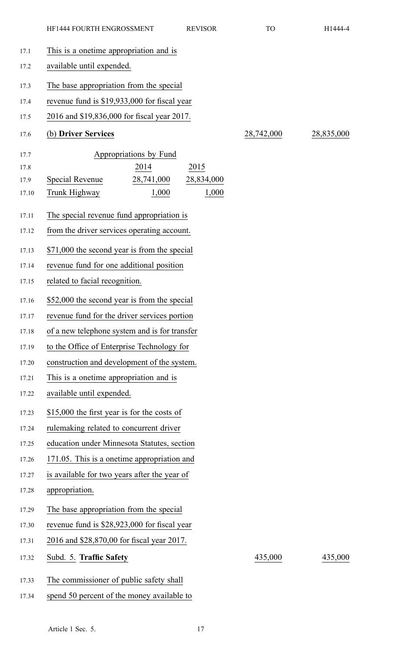| 17.1  | This is a onetime appropriation and is             |            |            |  |
|-------|----------------------------------------------------|------------|------------|--|
| 17.2  | available until expended.                          |            |            |  |
| 17.3  | The base appropriation from the special            |            |            |  |
| 17.4  | revenue fund is \$19,933,000 for fiscal year       |            |            |  |
| 17.5  | 2016 and \$19,836,000 for fiscal year 2017.        |            |            |  |
| 17.6  | (b) Driver Services                                | 28,742,000 | 28,835,000 |  |
| 17.7  | Appropriations by Fund                             |            |            |  |
| 17.8  | 2014<br>2015                                       |            |            |  |
| 17.9  | <b>Special Revenue</b><br>28,741,000<br>28,834,000 |            |            |  |
| 17.10 | 1,000<br>Trunk Highway<br>1,000                    |            |            |  |
| 17.11 | The special revenue fund appropriation is          |            |            |  |
| 17.12 | from the driver services operating account.        |            |            |  |
| 17.13 | \$71,000 the second year is from the special       |            |            |  |
| 17.14 | revenue fund for one additional position           |            |            |  |
| 17.15 | related to facial recognition.                     |            |            |  |
| 17.16 | \$52,000 the second year is from the special       |            |            |  |
| 17.17 | revenue fund for the driver services portion       |            |            |  |
| 17.18 | of a new telephone system and is for transfer      |            |            |  |
| 17.19 | to the Office of Enterprise Technology for         |            |            |  |
| 17.20 | construction and development of the system.        |            |            |  |
| 17.21 | This is a onetime appropriation and is             |            |            |  |
| 17.22 | available until expended.                          |            |            |  |
| 17.23 | \$15,000 the first year is for the costs of        |            |            |  |
| 17.24 | rulemaking related to concurrent driver            |            |            |  |
| 17.25 | education under Minnesota Statutes, section        |            |            |  |
| 17.26 | 171.05. This is a onetime appropriation and        |            |            |  |
| 17.27 | is available for two years after the year of       |            |            |  |
| 17.28 | appropriation.                                     |            |            |  |
| 17.29 | The base appropriation from the special            |            |            |  |
| 17.30 | revenue fund is \$28,923,000 for fiscal year       |            |            |  |
| 17.31 | 2016 and \$28,870,00 for fiscal year 2017.         |            |            |  |
| 17.32 | Subd. 5. Traffic Safety                            | 435,000    | 435,000    |  |
| 17.33 | The commissioner of public safety shall            |            |            |  |
| 17.34 | spend 50 percent of the money available to         |            |            |  |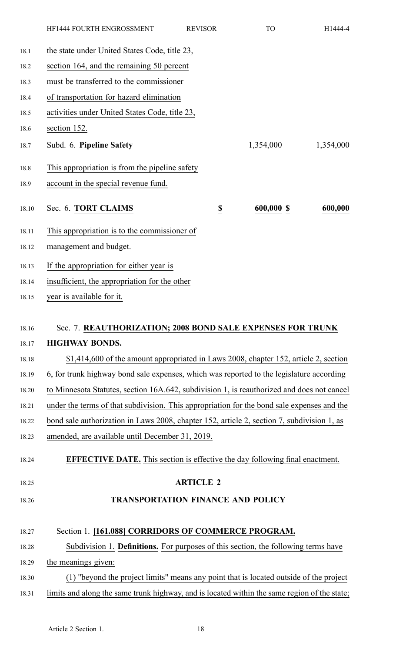|       | HF1444 FOURTH ENGROSSMENT                                                                    | <b>REVISOR</b>   | <b>TO</b>  | H1444-4   |
|-------|----------------------------------------------------------------------------------------------|------------------|------------|-----------|
| 18.1  | the state under United States Code, title 23,                                                |                  |            |           |
| 18.2  | section 164, and the remaining 50 percent                                                    |                  |            |           |
| 18.3  | must be transferred to the commissioner                                                      |                  |            |           |
| 18.4  | of transportation for hazard elimination                                                     |                  |            |           |
| 18.5  | activities under United States Code, title 23,                                               |                  |            |           |
| 18.6  | section 152.                                                                                 |                  |            |           |
| 18.7  | Subd. 6. Pipeline Safety                                                                     |                  | 1,354,000  | 1,354,000 |
| 18.8  | This appropriation is from the pipeline safety                                               |                  |            |           |
| 18.9  | account in the special revenue fund.                                                         |                  |            |           |
| 18.10 | Sec. 6. TORT CLAIMS                                                                          | $\underline{\$}$ | 600,000 \$ | 600,000   |
| 18.11 | This appropriation is to the commissioner of                                                 |                  |            |           |
| 18.12 | management and budget.                                                                       |                  |            |           |
| 18.13 | If the appropriation for either year is                                                      |                  |            |           |
| 18.14 | insufficient, the appropriation for the other                                                |                  |            |           |
| 18.15 | year is available for it.                                                                    |                  |            |           |
|       |                                                                                              |                  |            |           |
| 18.16 | Sec. 7. REAUTHORIZATION; 2008 BOND SALE EXPENSES FOR TRUNK                                   |                  |            |           |
| 18.17 | <b>HIGHWAY BONDS.</b>                                                                        |                  |            |           |
| 18.18 | \$1,414,600 of the amount appropriated in Laws 2008, chapter 152, article 2, section         |                  |            |           |
| 18.19 | 6, for trunk highway bond sale expenses, which was reported to the legislature according     |                  |            |           |
| 18.20 | to Minnesota Statutes, section 16A.642, subdivision 1, is reauthorized and does not cancel   |                  |            |           |
| 18.21 | under the terms of that subdivision. This appropriation for the bond sale expenses and the   |                  |            |           |
| 18.22 | bond sale authorization in Laws 2008, chapter 152, article 2, section 7, subdivision 1, as   |                  |            |           |
| 18.23 | amended, are available until December 31, 2019.                                              |                  |            |           |
| 18.24 | <b>EFFECTIVE DATE.</b> This section is effective the day following final enactment.          |                  |            |           |
| 18.25 |                                                                                              | <b>ARTICLE 2</b> |            |           |
| 18.26 | <b>TRANSPORTATION FINANCE AND POLICY</b>                                                     |                  |            |           |
| 18.27 | Section 1. [161.088] CORRIDORS OF COMMERCE PROGRAM.                                          |                  |            |           |
| 18.28 | Subdivision 1. <b>Definitions.</b> For purposes of this section, the following terms have    |                  |            |           |
| 18.29 | the meanings given:                                                                          |                  |            |           |
| 18.30 | (1) "beyond the project limits" means any point that is located outside of the project       |                  |            |           |
| 18.31 | limits and along the same trunk highway, and is located within the same region of the state; |                  |            |           |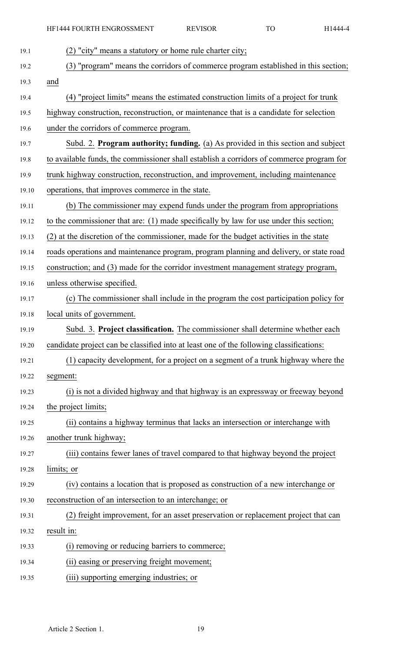| (2) "city" means a statutory or home rule charter city;                                  |
|------------------------------------------------------------------------------------------|
| (3) "program" means the corridors of commerce program established in this section;       |
| and                                                                                      |
| (4) "project limits" means the estimated construction limits of a project for trunk      |
| highway construction, reconstruction, or maintenance that is a candidate for selection   |
| under the corridors of commerce program.                                                 |
| Subd. 2. Program authority; funding. (a) As provided in this section and subject         |
| to available funds, the commissioner shall establish a corridors of commerce program for |
| trunk highway construction, reconstruction, and improvement, including maintenance       |
| operations, that improves commerce in the state.                                         |
| (b) The commissioner may expend funds under the program from appropriations              |
| to the commissioner that are: (1) made specifically by law for use under this section;   |
| (2) at the discretion of the commissioner, made for the budget activities in the state   |
| roads operations and maintenance program, program planning and delivery, or state road   |
| construction; and (3) made for the corridor investment management strategy program,      |
| unless otherwise specified.                                                              |
| (c) The commissioner shall include in the program the cost participation policy for      |
| local units of government.                                                               |
| Subd. 3. Project classification. The commissioner shall determine whether each           |
| candidate project can be classified into at least one of the following classifications:  |
| (1) capacity development, for a project on a segment of a trunk highway where the        |
| segment:                                                                                 |
| (i) is not a divided highway and that highway is an expressway or freeway beyond         |
| the project limits;                                                                      |
| (ii) contains a highway terminus that lacks an intersection or interchange with          |
| another trunk highway;                                                                   |
| (iii) contains fewer lanes of travel compared to that highway beyond the project         |
| limits; or                                                                               |
| (iv) contains a location that is proposed as construction of a new interchange or        |
| reconstruction of an intersection to an interchange; or                                  |
| (2) freight improvement, for an asset preservation or replacement project that can       |
| result in:                                                                               |
| (i) removing or reducing barriers to commerce;                                           |
| (ii) easing or preserving freight movement;                                              |
| (iii) supporting emerging industries; or                                                 |
|                                                                                          |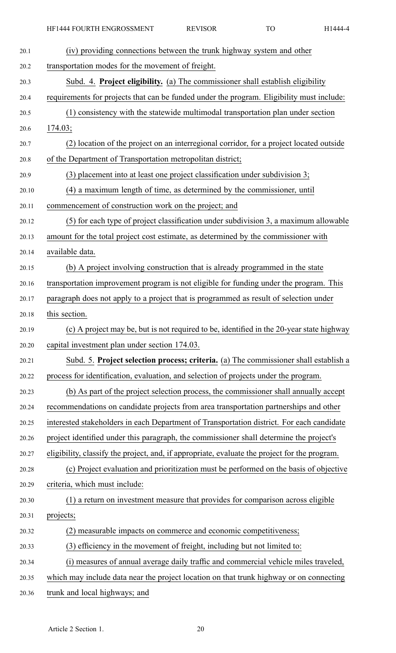| 20.1  | (iv) providing connections between the trunk highway system and other                         |
|-------|-----------------------------------------------------------------------------------------------|
| 20.2  | transportation modes for the movement of freight.                                             |
| 20.3  | Subd. 4. Project eligibility. (a) The commissioner shall establish eligibility                |
| 20.4  | requirements for projects that can be funded under the program. Eligibility must include:     |
| 20.5  | (1) consistency with the statewide multimodal transportation plan under section               |
| 20.6  | 174.03;                                                                                       |
| 20.7  | (2) location of the project on an interregional corridor, for a project located outside       |
| 20.8  | of the Department of Transportation metropolitan district;                                    |
| 20.9  | (3) placement into at least one project classification under subdivision 3;                   |
| 20.10 | (4) a maximum length of time, as determined by the commissioner, until                        |
| 20.11 | commencement of construction work on the project; and                                         |
| 20.12 | (5) for each type of project classification under subdivision 3, a maximum allowable          |
| 20.13 | amount for the total project cost estimate, as determined by the commissioner with            |
| 20.14 | available data.                                                                               |
| 20.15 | (b) A project involving construction that is already programmed in the state                  |
| 20.16 | transportation improvement program is not eligible for funding under the program. This        |
| 20.17 | paragraph does not apply to a project that is programmed as result of selection under         |
| 20.18 | this section.                                                                                 |
|       |                                                                                               |
| 20.19 | (c) A project may be, but is not required to be, identified in the 20-year state highway      |
| 20.20 | capital investment plan under section 174.03.                                                 |
| 20.21 | Subd. 5. Project selection process; criteria. (a) The commissioner shall establish a          |
| 20.22 | process for identification, evaluation, and selection of projects under the program.          |
| 20.23 | (b) As part of the project selection process, the commissioner shall annually accept          |
| 20.24 | recommendations on candidate projects from area transportation partnerships and other         |
| 20.25 | interested stakeholders in each Department of Transportation district. For each candidate     |
| 20.26 | project identified under this paragraph, the commissioner shall determine the project's       |
| 20.27 | eligibility, classify the project, and, if appropriate, evaluate the project for the program. |
| 20.28 | (c) Project evaluation and prioritization must be performed on the basis of objective         |
| 20.29 | criteria, which must include:                                                                 |
| 20.30 | (1) a return on investment measure that provides for comparison across eligible               |
| 20.31 | projects;                                                                                     |
| 20.32 | (2) measurable impacts on commerce and economic competitiveness;                              |
| 20.33 | (3) efficiency in the movement of freight, including but not limited to:                      |
| 20.34 | (i) measures of annual average daily traffic and commercial vehicle miles traveled,           |

20.36 trunk and local highways; and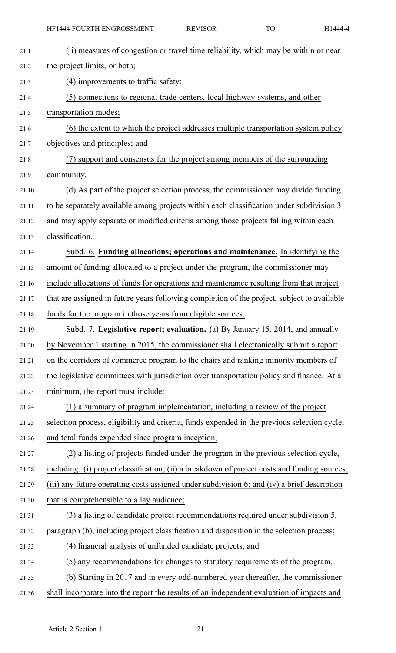| 21.1  | (ii) measures of congestion or travel time reliability, which may be within or near           |
|-------|-----------------------------------------------------------------------------------------------|
| 21.2  | the project limits, or both;                                                                  |
| 21.3  | (4) improvements to traffic safety;                                                           |
| 21.4  | (5) connections to regional trade centers, local highway systems, and other                   |
| 21.5  | transportation modes;                                                                         |
| 21.6  | (6) the extent to which the project addresses multiple transportation system policy           |
| 21.7  | objectives and principles; and                                                                |
| 21.8  | (7) support and consensus for the project among members of the surrounding                    |
| 21.9  | community.                                                                                    |
| 21.10 | (d) As part of the project selection process, the commissioner may divide funding             |
| 21.11 | to be separately available among projects within each classification under subdivision 3      |
| 21.12 | and may apply separate or modified criteria among those projects falling within each          |
| 21.13 | classification.                                                                               |
| 21.14 | Subd. 6. Funding allocations; operations and maintenance. In identifying the                  |
| 21.15 | amount of funding allocated to a project under the program, the commissioner may              |
| 21.16 | include allocations of funds for operations and maintenance resulting from that project       |
| 21.17 | that are assigned in future years following completion of the project, subject to available   |
| 21.18 | funds for the program in those years from eligible sources.                                   |
| 21.19 | Subd. 7. Legislative report; evaluation. (a) By January 15, 2014, and annually                |
| 21.20 | by November 1 starting in 2015, the commissioner shall electronically submit a report         |
| 21.21 | on the corridors of commerce program to the chairs and ranking minority members of            |
| 21.22 | the legislative committees with jurisdiction over transportation policy and finance. At a     |
| 21.23 | minimum, the report must include:                                                             |
| 21.24 | (1) a summary of program implementation, including a review of the project                    |
| 21.25 | selection process, eligibility and criteria, funds expended in the previous selection cycle,  |
| 21.26 | and total funds expended since program inception;                                             |
| 21.27 | (2) a listing of projects funded under the program in the previous selection cycle,           |
| 21.28 | including: (i) project classification; (ii) a breakdown of project costs and funding sources; |
| 21.29 | (iii) any future operating costs assigned under subdivision 6; and (iv) a brief description   |
| 21.30 | that is comprehensible to a lay audience;                                                     |
| 21.31 | (3) a listing of candidate project recommendations required under subdivision 5,              |
| 21.32 | paragraph (b), including project classification and disposition in the selection process;     |
| 21.33 | (4) financial analysis of unfunded candidate projects; and                                    |
| 21.34 | (5) any recommendations for changes to statutory requirements of the program.                 |
| 21.35 | (b) Starting in 2017 and in every odd-numbered year thereafter, the commissioner              |
| 21.36 | shall incorporate into the report the results of an independent evaluation of impacts and     |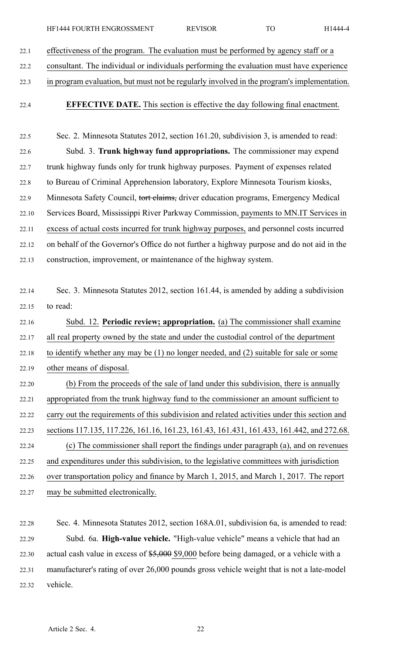22.1 effectiveness of the program. The evaluation must be performed by agency staff or <sup>a</sup>

22.2 consultant. The individual or individuals performing the evaluation must have experience

- 22.3 in program evaluation, but must not be regularly involved in the program's implementation.
- 

22.4 **EFFECTIVE DATE.** This section is effective the day following final enactment.

22.5 Sec. 2. Minnesota Statutes 2012, section 161.20, subdivision 3, is amended to read: 22.6 Subd. 3. **Trunk highway fund appropriations.** The commissioner may expend 22.7 trunk highway funds only for trunk highway purposes. Payment of expenses related 22.8 to Bureau of Criminal Apprehension laboratory, Explore Minnesota Tourism kiosks, 22.9 Minnesota Safety Council, tort claims, driver education programs, Emergency Medical 22.10 Services Board, Mississippi River Parkway Commission, payments to MN.IT Services in 22.11 excess of actual costs incurred for trunk highway purposes, and personnel costs incurred 22.12 on behalf of the Governor's Office do not further <sup>a</sup> highway purpose and do not aid in the 22.13 construction, improvement, or maintenance of the highway system.

22.14 Sec. 3. Minnesota Statutes 2012, section 161.44, is amended by adding <sup>a</sup> subdivision 22.15 to read:

22.16 Subd. 12. **Periodic review; appropriation.** (a) The commissioner shall examine 22.17 all real property owned by the state and under the custodial control of the department 22.18 to identify whether any may be (1) no longer needed, and (2) suitable for sale or some 22.19 other means of disposal. 22.20 (b) From the proceeds of the sale of land under this subdivision, there is annually 22.21 appropriated from the trunk highway fund to the commissioner an amount sufficient to

22.22 carry out the requirements of this subdivision and related activities under this section and 22.23 sections 117.135, 117.226, 161.16, 161.23, 161.43, 161.431, 161.433, 161.442, and 272.68. 22.24 (c) The commissioner shall repor<sup>t</sup> the findings under paragraph (a), and on revenues 22.25 and expenditures under this subdivision, to the legislative committees with jurisdiction 22.26 over transportation policy and finance by March 1, 2015, and March 1, 2017. The repor<sup>t</sup> 22.27 may be submitted electronically.

22.28 Sec. 4. Minnesota Statutes 2012, section 168A.01, subdivision 6a, is amended to read: 22.29 Subd. 6a. **High-value vehicle.** "High-value vehicle" means <sup>a</sup> vehicle that had an 22.30 actual cash value in excess of \$5,000 \$9,000 before being damaged, or <sup>a</sup> vehicle with <sup>a</sup> 22.31 manufacturer's rating of over 26,000 pounds gross vehicle weight that is not <sup>a</sup> late-model 22.32 vehicle.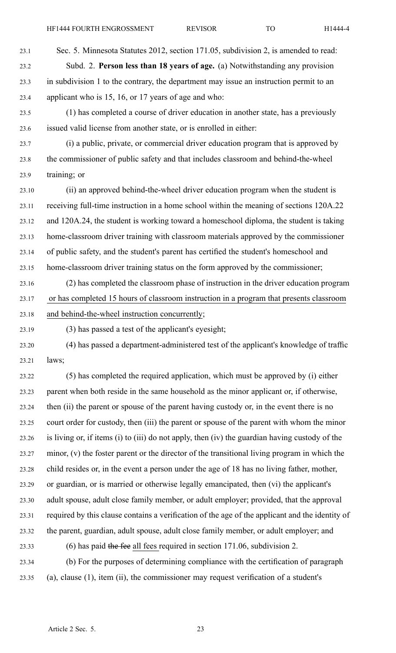- 23.1 Sec. 5. Minnesota Statutes 2012, section 171.05, subdivision 2, is amended to read: 23.2 Subd. 2. **Person less than 18 years of age.** (a) Notwithstanding any provision 23.3 in subdivision 1 to the contrary, the department may issue an instruction permit to an 23.4 applicant who is 15, 16, or 17 years of age and who:
- 23.5 (1) has completed <sup>a</sup> course of driver education in another state, has <sup>a</sup> previously 23.6 issued valid license from another state, or is enrolled in either:
- 23.7 (i) <sup>a</sup> public, private, or commercial driver education program that is approved by 23.8 the commissioner of public safety and that includes classroom and behind-the-wheel 23.9 training; or
- 23.10 (ii) an approved behind-the-wheel driver education program when the student is 23.11 receiving full-time instruction in <sup>a</sup> home school within the meaning of sections 120A.22 23.12 and 120A.24, the student is working toward <sup>a</sup> homeschool diploma, the student is taking 23.13 home-classroom driver training with classroom materials approved by the commissioner 23.14 of public safety, and the student's paren<sup>t</sup> has certified the student's homeschool and 23.15 home-classroom driver training status on the form approved by the commissioner;
- 23.16 (2) has completed the classroom phase of instruction in the driver education program 23.17 or has completed 15 hours of classroom instruction in <sup>a</sup> program that presents classroom 23.18 and behind-the-wheel instruction concurrently;
- 23.19 (3) has passed <sup>a</sup> test of the applicant's eyesight;
- 23.20 (4) has passed <sup>a</sup> department-administered test of the applicant's knowledge of traffic 23.21 laws;
- 23.22 (5) has completed the required application, which must be approved by (i) either 23.23 paren<sup>t</sup> when both reside in the same household as the minor applicant or, if otherwise, 23.24 then (ii) the paren<sup>t</sup> or spouse of the paren<sup>t</sup> having custody or, in the event there is no 23.25 court order for custody, then (iii) the paren<sup>t</sup> or spouse of the paren<sup>t</sup> with whom the minor 23.26 is living or, if items (i) to (iii) do not apply, then (iv) the guardian having custody of the 23.27 minor, (v) the foster paren<sup>t</sup> or the director of the transitional living program in which the 23.28 child resides or, in the event <sup>a</sup> person under the age of 18 has no living father, mother, 23.29 or guardian, or is married or otherwise legally emancipated, then (vi) the applicant's 23.30 adult spouse, adult close family member, or adult employer; provided, that the approval 23.31 required by this clause contains <sup>a</sup> verification of the age of the applicant and the identity of 23.32 the parent, guardian, adult spouse, adult close family member, or adult employer; and 23.33 (6) has paid the fee all fees required in section 171.06, subdivision 2.
- 23.34 (b) For the purposes of determining compliance with the certification of paragraph 23.35 (a), clause (1), item (ii), the commissioner may reques<sup>t</sup> verification of <sup>a</sup> student's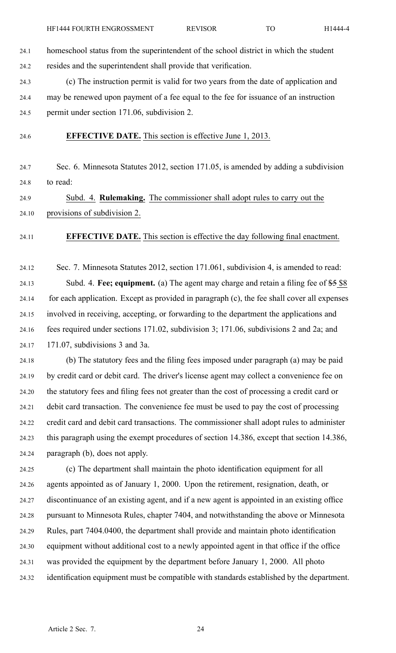24.1 homeschool status from the superintendent of the school district in which the student 24.2 resides and the superintendent shall provide that verification.

24.3 (c) The instruction permit is valid for two years from the date of application and 24.4 may be renewed upon paymen<sup>t</sup> of <sup>a</sup> fee equal to the fee for issuance of an instruction 24.5 permit under section 171.06, subdivision 2.

24.6 **EFFECTIVE DATE.** This section is effective June 1, 2013.

24.7 Sec. 6. Minnesota Statutes 2012, section 171.05, is amended by adding <sup>a</sup> subdivision 24.8 to read:

24.9 Subd. 4. **Rulemaking.** The commissioner shall adopt rules to carry out the 24.10 provisions of subdivision 2.

24.11 **EFFECTIVE DATE.** This section is effective the day following final enactment.

24.12 Sec. 7. Minnesota Statutes 2012, section 171.061, subdivision 4, is amended to read: 24.13 Subd. 4. **Fee; equipment.** (a) The agen<sup>t</sup> may charge and retain <sup>a</sup> filing fee of \$5 \$8 24.14 for each application. Except as provided in paragraph (c), the fee shall cover all expenses 24.15 involved in receiving, accepting, or forwarding to the department the applications and 24.16 fees required under sections 171.02, subdivision 3; 171.06, subdivisions 2 and 2a; and 24.17 171.07, subdivisions 3 and 3a.

24.18 (b) The statutory fees and the filing fees imposed under paragraph (a) may be paid 24.19 by credit card or debit card. The driver's license agen<sup>t</sup> may collect <sup>a</sup> convenience fee on 24.20 the statutory fees and filing fees not greater than the cost of processing <sup>a</sup> credit card or 24.21 debit card transaction. The convenience fee must be used to pay the cost of processing 24.22 credit card and debit card transactions. The commissioner shall adopt rules to administer 24.23 this paragraph using the exemp<sup>t</sup> procedures of section 14.386, excep<sup>t</sup> that section 14.386, 24.24 paragraph (b), does not apply.

24.25 (c) The department shall maintain the photo identification equipment for all 24.26 agents appointed as of January 1, 2000. Upon the retirement, resignation, death, or 24.27 discontinuance of an existing agent, and if <sup>a</sup> new agen<sup>t</sup> is appointed in an existing office 24.28 pursuan<sup>t</sup> to Minnesota Rules, chapter 7404, and notwithstanding the above or Minnesota 24.29 Rules, par<sup>t</sup> 7404.0400, the department shall provide and maintain photo identification 24.30 equipment without additional cost to <sup>a</sup> newly appointed agen<sup>t</sup> in that office if the office 24.31 was provided the equipment by the department before January 1, 2000. All photo 24.32 identification equipment must be compatible with standards established by the department.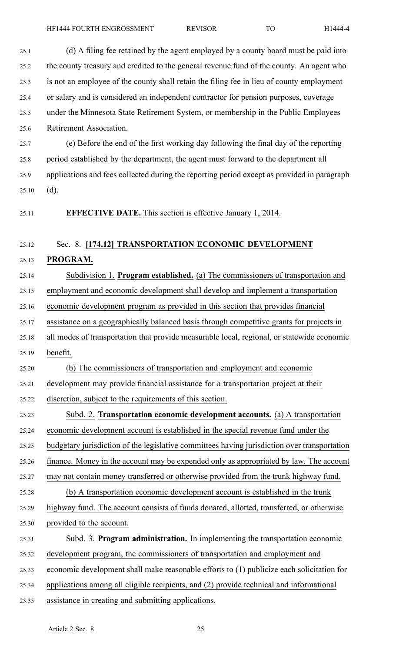25.1 (d) A filing fee retained by the agen<sup>t</sup> employed by <sup>a</sup> county board must be paid into

25.2 the county treasury and credited to the general revenue fund of the county. An agen<sup>t</sup> who 25.3 is not an employee of the county shall retain the filing fee in lieu of county employment 25.4 or salary and is considered an independent contractor for pension purposes, coverage 25.5 under the Minnesota State Retirement System, or membership in the Public Employees 25.6 Retirement Association. 25.7 (e) Before the end of the first working day following the final day of the reporting 25.8 period established by the department, the agen<sup>t</sup> must forward to the department all 25.9 applications and fees collected during the reporting period excep<sup>t</sup> as provided in paragraph  $25.10$  (d). 25.11 **EFFECTIVE DATE.** This section is effective January 1, 2014. 25.12 Sec. 8. **[174.12] TRANSPORTATION ECONOMIC DEVELOPMENT** 25.13 **PROGRAM.** 25.14 Subdivision 1. **Program established.** (a) The commissioners of transportation and 25.15 employment and economic development shall develop and implement <sup>a</sup> transportation 25.16 economic development program as provided in this section that provides financial 25.17 assistance on <sup>a</sup> geographically balanced basis through competitive grants for projects in 25.18 all modes of transportation that provide measurable local, regional, or statewide economic 25.19 benefit. 25.20 (b) The commissioners of transportation and employment and economic 25.21 development may provide financial assistance for <sup>a</sup> transportation project at their 25.22 discretion, subject to the requirements of this section. 25.23 Subd. 2. **Transportation economic development accounts.** (a) A transportation 25.24 economic development account is established in the special revenue fund under the 25.25 budgetary jurisdiction of the legislative committees having jurisdiction over transportation 25.26 finance. Money in the account may be expended only as appropriated by law. The account 25.27 may not contain money transferred or otherwise provided from the trunk highway fund. 25.28 (b) A transportation economic development account is established in the trunk 25.29 highway fund. The account consists of funds donated, allotted, transferred, or otherwise 25.30 provided to the account. 25.31 Subd. 3. **Program administration.** In implementing the transportation economic 25.32 development program, the commissioners of transportation and employment and 25.33 economic development shall make reasonable efforts to (1) publicize each solicitation for 25.34 applications among all eligible recipients, and (2) provide technical and informational 25.35 assistance in creating and submitting applications.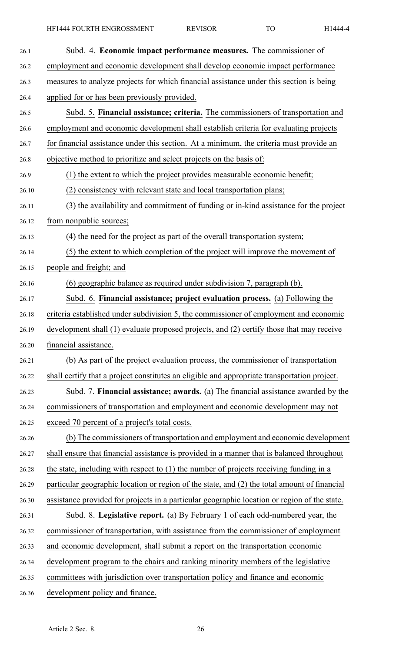| 26.1  | Subd. 4. Economic impact performance measures. The commissioner of                           |  |
|-------|----------------------------------------------------------------------------------------------|--|
| 26.2  | employment and economic development shall develop economic impact performance                |  |
| 26.3  | measures to analyze projects for which financial assistance under this section is being      |  |
| 26.4  | applied for or has been previously provided.                                                 |  |
| 26.5  | Subd. 5. Financial assistance; criteria. The commissioners of transportation and             |  |
| 26.6  | employment and economic development shall establish criteria for evaluating projects         |  |
| 26.7  | for financial assistance under this section. At a minimum, the criteria must provide an      |  |
| 26.8  | objective method to prioritize and select projects on the basis of:                          |  |
| 26.9  | (1) the extent to which the project provides measurable economic benefit;                    |  |
| 26.10 | (2) consistency with relevant state and local transportation plans;                          |  |
| 26.11 | (3) the availability and commitment of funding or in-kind assistance for the project         |  |
| 26.12 | from nonpublic sources;                                                                      |  |
| 26.13 | (4) the need for the project as part of the overall transportation system;                   |  |
| 26.14 | (5) the extent to which completion of the project will improve the movement of               |  |
| 26.15 | people and freight; and                                                                      |  |
| 26.16 | (6) geographic balance as required under subdivision 7, paragraph (b).                       |  |
| 26.17 | Subd. 6. Financial assistance; project evaluation process. (a) Following the                 |  |
| 26.18 | criteria established under subdivision 5, the commissioner of employment and economic        |  |
| 26.19 | development shall (1) evaluate proposed projects, and (2) certify those that may receive     |  |
| 26.20 | financial assistance.                                                                        |  |
| 26.21 | (b) As part of the project evaluation process, the commissioner of transportation            |  |
| 26.22 | shall certify that a project constitutes an eligible and appropriate transportation project. |  |
| 26.23 | Subd. 7. Financial assistance; awards. (a) The financial assistance awarded by the           |  |
| 26.24 | commissioners of transportation and employment and economic development may not              |  |
| 26.25 | exceed 70 percent of a project's total costs.                                                |  |
| 26.26 | (b) The commissioners of transportation and employment and economic development              |  |
| 26.27 | shall ensure that financial assistance is provided in a manner that is balanced throughout   |  |
| 26.28 | the state, including with respect to $(1)$ the number of projects receiving funding in a     |  |
| 26.29 | particular geographic location or region of the state, and (2) the total amount of financial |  |
| 26.30 | assistance provided for projects in a particular geographic location or region of the state. |  |
| 26.31 | Subd. 8. Legislative report. (a) By February 1 of each odd-numbered year, the                |  |
| 26.32 | commissioner of transportation, with assistance from the commissioner of employment          |  |
| 26.33 | and economic development, shall submit a report on the transportation economic               |  |
| 26.34 | development program to the chairs and ranking minority members of the legislative            |  |
| 26.35 | committees with jurisdiction over transportation policy and finance and economic             |  |
| 26.36 | development policy and finance.                                                              |  |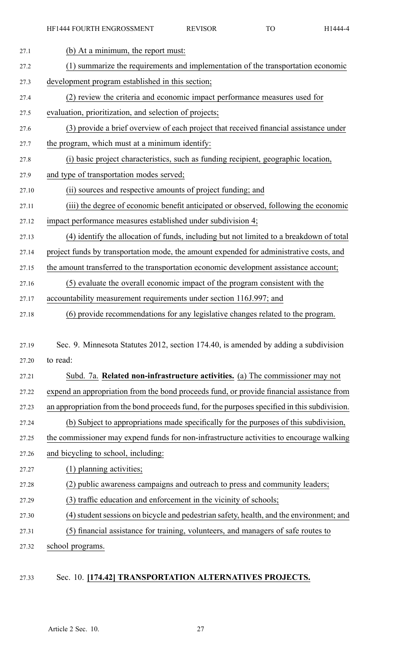| 27.1  | (b) At a minimum, the report must:                                                            |  |
|-------|-----------------------------------------------------------------------------------------------|--|
| 27.2  | (1) summarize the requirements and implementation of the transportation economic              |  |
| 27.3  | development program established in this section;                                              |  |
| 27.4  | (2) review the criteria and economic impact performance measures used for                     |  |
| 27.5  | evaluation, prioritization, and selection of projects;                                        |  |
| 27.6  | (3) provide a brief overview of each project that received financial assistance under         |  |
| 27.7  | the program, which must at a minimum identify:                                                |  |
| 27.8  | (i) basic project characteristics, such as funding recipient, geographic location,            |  |
| 27.9  | and type of transportation modes served;                                                      |  |
| 27.10 | (ii) sources and respective amounts of project funding; and                                   |  |
| 27.11 | (iii) the degree of economic benefit anticipated or observed, following the economic          |  |
| 27.12 | impact performance measures established under subdivision 4;                                  |  |
| 27.13 | (4) identify the allocation of funds, including but not limited to a breakdown of total       |  |
| 27.14 | project funds by transportation mode, the amount expended for administrative costs, and       |  |
| 27.15 | the amount transferred to the transportation economic development assistance account;         |  |
| 27.16 | (5) evaluate the overall economic impact of the program consistent with the                   |  |
| 27.17 | accountability measurement requirements under section 116J.997; and                           |  |
| 27.18 | (6) provide recommendations for any legislative changes related to the program.               |  |
|       |                                                                                               |  |
| 27.19 | Sec. 9. Minnesota Statutes 2012, section 174.40, is amended by adding a subdivision           |  |
| 27.20 | to read:                                                                                      |  |
| 27.21 | Subd. 7a. Related non-infrastructure activities. (a) The commissioner may not                 |  |
| 27.22 | expend an appropriation from the bond proceeds fund, or provide financial assistance from     |  |
| 27.23 | an appropriation from the bond proceeds fund, for the purposes specified in this subdivision. |  |
| 27.24 | (b) Subject to appropriations made specifically for the purposes of this subdivision,         |  |
| 27.25 | the commissioner may expend funds for non-infrastructure activities to encourage walking      |  |
| 27.26 | and bicycling to school, including:                                                           |  |
| 27.27 | (1) planning activities;                                                                      |  |
| 27.28 | (2) public awareness campaigns and outreach to press and community leaders;                   |  |
| 27.29 | (3) traffic education and enforcement in the vicinity of schools;                             |  |
| 27.30 | (4) student sessions on bicycle and pedestrian safety, health, and the environment; and       |  |
| 27.31 | (5) financial assistance for training, volunteers, and managers of safe routes to             |  |
| 27.32 | school programs.                                                                              |  |

## 27.33 Sec. 10. **[174.42] TRANSPORTATION ALTERNATIVES PROJECTS.**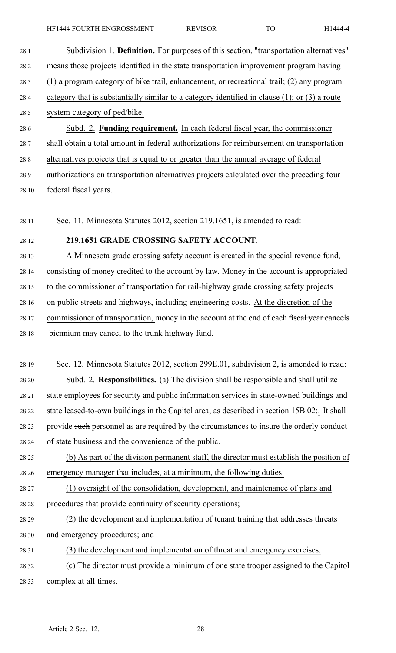28.2 means those projects identified in the state transportation improvement program having

28.3 (1) <sup>a</sup> program category of bike trail, enhancement, or recreational trail; (2) any program

- 28.4 category that is substantially similar to <sup>a</sup> category identified in clause (1); or (3) <sup>a</sup> route
- 28.5 system category of ped/bike.
- 28.6 Subd. 2. **Funding requirement.** In each federal fiscal year, the commissioner
- 28.7 shall obtain <sup>a</sup> total amount in federal authorizations for reimbursement on transportation
- 28.8 alternatives projects that is equal to or greater than the annual average of federal

28.9 authorizations on transportation alternatives projects calculated over the preceding four

28.10 federal fiscal years.

28.11 Sec. 11. Minnesota Statutes 2012, section 219.1651, is amended to read:

## 28.12 **219.1651 GRADE CROSSING SAFETY ACCOUNT.**

28.13 A Minnesota grade crossing safety account is created in the special revenue fund, 28.14 consisting of money credited to the account by law. Money in the account is appropriated 28.15 to the commissioner of transportation for rail-highway grade crossing safety projects 28.16 on public streets and highways, including engineering costs. At the discretion of the 28.17 commissioner of transportation, money in the account at the end of each fiscal year cancels 28.18 biennium may cancel to the trunk highway fund.

28.19 Sec. 12. Minnesota Statutes 2012, section 299E.01, subdivision 2, is amended to read: 28.20 Subd. 2. **Responsibilities.** (a) The division shall be responsible and shall utilize 28.21 state employees for security and public information services in state-owned buildings and 28.22 state leased-to-own buildings in the Capitol area, as described in section  $15B.02$ ;. It shall 28.23 provide such personnel as are required by the circumstances to insure the orderly conduct 28.24 of state business and the convenience of the public.

28.25 (b) As par<sup>t</sup> of the division permanen<sup>t</sup> staff, the director must establish the position of 28.26 emergency manager that includes, at <sup>a</sup> minimum, the following duties:

28.27 (1) oversight of the consolidation, development, and maintenance of plans and 28.28 procedures that provide continuity of security operations;

- 28.29 (2) the development and implementation of tenant training that addresses threats
- 28.30 and emergency procedures; and

28.31 (3) the development and implementation of threat and emergency exercises.

28.32 (c) The director must provide <sup>a</sup> minimum of one state trooper assigned to the Capitol 28.33 complex at all times.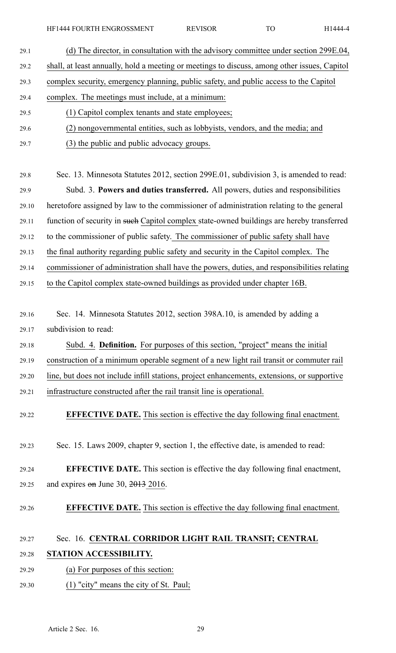HF1444 FOURTH ENGROSSMENT REVISOR TO H1444-4

| 29.1  | (d) The director, in consultation with the advisory committee under section 299E.04,         |  |  |
|-------|----------------------------------------------------------------------------------------------|--|--|
| 29.2  | shall, at least annually, hold a meeting or meetings to discuss, among other issues, Capitol |  |  |
| 29.3  | complex security, emergency planning, public safety, and public access to the Capitol        |  |  |
| 29.4  | complex. The meetings must include, at a minimum:                                            |  |  |
| 29.5  | (1) Capitol complex tenants and state employees;                                             |  |  |
| 29.6  | (2) nongovernmental entities, such as lobbyists, vendors, and the media; and                 |  |  |
| 29.7  | (3) the public and public advocacy groups.                                                   |  |  |
|       |                                                                                              |  |  |
| 29.8  | Sec. 13. Minnesota Statutes 2012, section 299E.01, subdivision 3, is amended to read:        |  |  |
| 29.9  | Subd. 3. Powers and duties transferred. All powers, duties and responsibilities              |  |  |
| 29.10 | heretofore assigned by law to the commissioner of administration relating to the general     |  |  |
| 29.11 | function of security in such Capitol complex state-owned buildings are hereby transferred    |  |  |
| 29.12 | to the commissioner of public safety. The commissioner of public safety shall have           |  |  |
| 29.13 | the final authority regarding public safety and security in the Capitol complex. The         |  |  |
| 29.14 | commissioner of administration shall have the powers, duties, and responsibilities relating  |  |  |
| 29.15 | to the Capitol complex state-owned buildings as provided under chapter 16B.                  |  |  |
|       |                                                                                              |  |  |
| 29.16 | Sec. 14. Minnesota Statutes 2012, section 398A.10, is amended by adding a                    |  |  |
| 29.17 | subdivision to read:                                                                         |  |  |
| 29.18 | Subd. 4. Definition. For purposes of this section, "project" means the initial               |  |  |
| 29.19 | construction of a minimum operable segment of a new light rail transit or commuter rail      |  |  |
| 29.20 | line, but does not include infill stations, project enhancements, extensions, or supportive  |  |  |
| 29.21 | infrastructure constructed after the rail transit line is operational.                       |  |  |
| 29.22 | <b>EFFECTIVE DATE.</b> This section is effective the day following final enactment.          |  |  |
|       |                                                                                              |  |  |
| 29.23 | Sec. 15. Laws 2009, chapter 9, section 1, the effective date, is amended to read:            |  |  |
|       |                                                                                              |  |  |
| 29.24 | <b>EFFECTIVE DATE.</b> This section is effective the day following final enactment,          |  |  |
| 29.25 | and expires $\theta$ m June 30, 2013 2016.                                                   |  |  |
| 29.26 | <b>EFFECTIVE DATE.</b> This section is effective the day following final enactment.          |  |  |
|       |                                                                                              |  |  |
| 29.27 | Sec. 16. CENTRAL CORRIDOR LIGHT RAIL TRANSIT; CENTRAL                                        |  |  |
| 29.28 | STATION ACCESSIBILITY.                                                                       |  |  |
| 29.29 | (a) For purposes of this section:                                                            |  |  |
| 29.30 | $(1)$ "city" means the city of St. Paul;                                                     |  |  |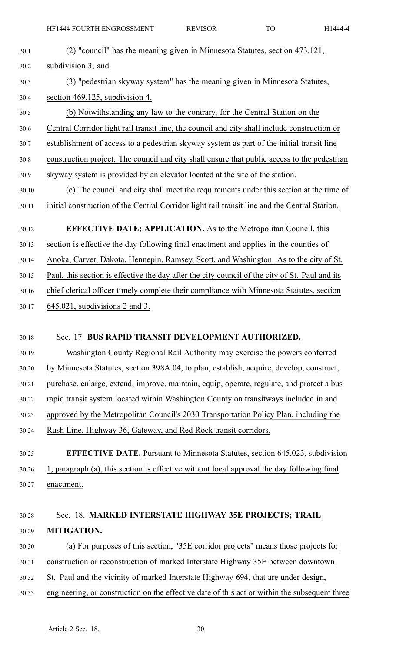| 30.1  | (2) "council" has the meaning given in Minnesota Statutes, section 473.121,                    |  |
|-------|------------------------------------------------------------------------------------------------|--|
| 30.2  | subdivision 3; and                                                                             |  |
| 30.3  | (3) "pedestrian skyway system" has the meaning given in Minnesota Statutes,                    |  |
| 30.4  | section 469.125, subdivision 4.                                                                |  |
| 30.5  | (b) Notwithstanding any law to the contrary, for the Central Station on the                    |  |
| 30.6  | Central Corridor light rail transit line, the council and city shall include construction or   |  |
| 30.7  | establishment of access to a pedestrian skyway system as part of the initial transit line      |  |
| 30.8  | construction project. The council and city shall ensure that public access to the pedestrian   |  |
| 30.9  | skyway system is provided by an elevator located at the site of the station.                   |  |
| 30.10 | (c) The council and city shall meet the requirements under this section at the time of         |  |
| 30.11 | initial construction of the Central Corridor light rail transit line and the Central Station.  |  |
| 30.12 | <b>EFFECTIVE DATE; APPLICATION.</b> As to the Metropolitan Council, this                       |  |
| 30.13 | section is effective the day following final enactment and applies in the counties of          |  |
| 30.14 | Anoka, Carver, Dakota, Hennepin, Ramsey, Scott, and Washington. As to the city of St.          |  |
| 30.15 | Paul, this section is effective the day after the city council of the city of St. Paul and its |  |
| 30.16 | chief clerical officer timely complete their compliance with Minnesota Statutes, section       |  |
| 30.17 | $645.021$ , subdivisions 2 and 3.                                                              |  |
|       |                                                                                                |  |
| 30.18 | Sec. 17. BUS RAPID TRANSIT DEVELOPMENT AUTHORIZED.                                             |  |
| 30.19 | Washington County Regional Rail Authority may exercise the powers conferred                    |  |
| 30.20 | by Minnesota Statutes, section 398A.04, to plan, establish, acquire, develop, construct,       |  |
| 30.21 | purchase, enlarge, extend, improve, maintain, equip, operate, regulate, and protect a bus      |  |
| 30.22 | rapid transit system located within Washington County on transit ways included in and          |  |
| 30.23 | approved by the Metropolitan Council's 2030 Transportation Policy Plan, including the          |  |
| 30.24 | Rush Line, Highway 36, Gateway, and Red Rock transit corridors.                                |  |
|       | <b>EFFECTIVE DATE.</b> Pursuant to Minnesota Statutes, section 645.023, subdivision            |  |
| 30.25 | 1, paragraph (a), this section is effective without local approval the day following final     |  |
| 30.26 | enactment.                                                                                     |  |
| 30.27 |                                                                                                |  |
| 30.28 | Sec. 18. MARKED INTERSTATE HIGHWAY 35E PROJECTS; TRAIL                                         |  |
| 30.29 | MITIGATION.                                                                                    |  |
| 30.30 | (a) For purposes of this section, "35E corridor projects" means those projects for             |  |
| 30.31 | construction or reconstruction of marked Interstate Highway 35E between downtown               |  |
| 30.32 | St. Paul and the vicinity of marked Interstate Highway 694, that are under design,             |  |
| 30.33 | engineering, or construction on the effective date of this act or within the subsequent three  |  |
|       |                                                                                                |  |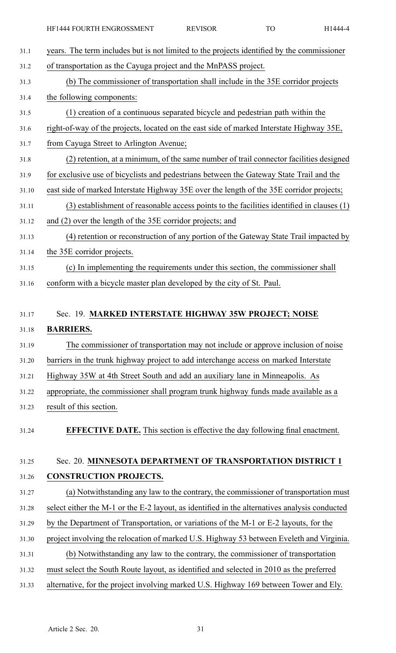| 31.1  | years. The term includes but is not limited to the projects identified by the commissioner    |
|-------|-----------------------------------------------------------------------------------------------|
| 31.2  | of transportation as the Cayuga project and the MnPASS project.                               |
| 31.3  | (b) The commissioner of transportation shall include in the 35E corridor projects             |
| 31.4  | the following components:                                                                     |
| 31.5  | (1) creation of a continuous separated bicycle and pedestrian path within the                 |
| 31.6  | right-of-way of the projects, located on the east side of marked Interstate Highway 35E,      |
| 31.7  | from Cayuga Street to Arlington Avenue;                                                       |
| 31.8  | (2) retention, at a minimum, of the same number of trail connector facilities designed        |
| 31.9  | for exclusive use of bicyclists and pedestrians between the Gateway State Trail and the       |
| 31.10 | east side of marked Interstate Highway 35E over the length of the 35E corridor projects;      |
| 31.11 | (3) establishment of reasonable access points to the facilities identified in clauses (1)     |
| 31.12 | and (2) over the length of the 35E corridor projects; and                                     |
| 31.13 | (4) retention or reconstruction of any portion of the Gateway State Trail impacted by         |
| 31.14 | the 35E corridor projects.                                                                    |
| 31.15 | (c) In implementing the requirements under this section, the commissioner shall               |
| 31.16 | conform with a bicycle master plan developed by the city of St. Paul.                         |
|       |                                                                                               |
| 31.17 | Sec. 19. MARKED INTERSTATE HIGHWAY 35W PROJECT; NOISE                                         |
| 31.18 | <b>BARRIERS.</b>                                                                              |
| 31.19 | The commissioner of transportation may not include or approve inclusion of noise              |
| 31.20 | barriers in the trunk highway project to add interchange access on marked Interstate          |
| 31.21 | Highway 35W at 4th Street South and add an auxiliary lane in Minneapolis. As                  |
| 31.22 | appropriate, the commissioner shall program trunk highway funds made available as a           |
| 31.23 | result of this section.                                                                       |
| 31.24 | <b>EFFECTIVE DATE.</b> This section is effective the day following final enactment.           |
|       |                                                                                               |
| 31.25 | Sec. 20. MINNESOTA DEPARTMENT OF TRANSPORTATION DISTRICT 1                                    |
| 31.26 | <b>CONSTRUCTION PROJECTS.</b>                                                                 |
| 31.27 | (a) Notwithstanding any law to the contrary, the commissioner of transportation must          |
| 31.28 | select either the M-1 or the E-2 layout, as identified in the alternatives analysis conducted |
|       |                                                                                               |
| 31.29 | by the Department of Transportation, or variations of the M-1 or E-2 layouts, for the         |
| 31.30 | project involving the relocation of marked U.S. Highway 53 between Eveleth and Virginia.      |
| 31.31 | (b) Notwithstanding any law to the contrary, the commissioner of transportation               |

- 31.32 must select the South Route layout, as identified and selected in 2010 as the preferred
- 31.33 alternative, for the project involving marked U.S. Highway 169 between Tower and Ely.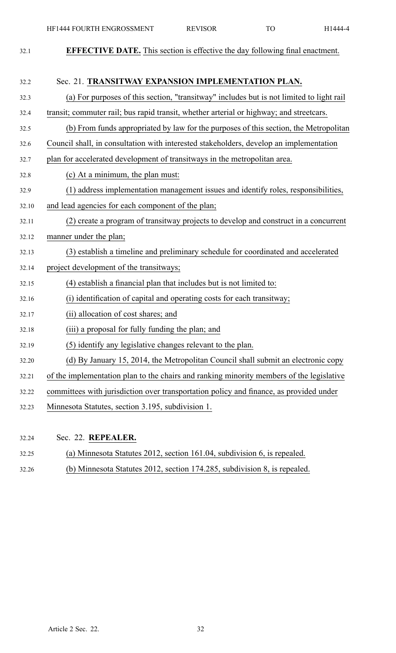| 32.1  | <b>EFFECTIVE DATE.</b> This section is effective the day following final enactment.      |  |
|-------|------------------------------------------------------------------------------------------|--|
|       |                                                                                          |  |
| 32.2  | Sec. 21. TRANSITWAY EXPANSION IMPLEMENTATION PLAN.                                       |  |
| 32.3  | (a) For purposes of this section, "transitway" includes but is not limited to light rail |  |
| 32.4  | transit; commuter rail; bus rapid transit, whether arterial or highway; and streetcars.  |  |
| 32.5  | (b) From funds appropriated by law for the purposes of this section, the Metropolitan    |  |
| 32.6  | Council shall, in consultation with interested stakeholders, develop an implementation   |  |
| 32.7  | plan for accelerated development of transitways in the metropolitan area.                |  |
| 32.8  | (c) At a minimum, the plan must:                                                         |  |
| 32.9  | (1) address implementation management issues and identify roles, responsibilities,       |  |
| 32.10 | and lead agencies for each component of the plan;                                        |  |
| 32.11 | (2) create a program of transitway projects to develop and construct in a concurrent     |  |
| 32.12 | manner under the plan;                                                                   |  |
| 32.13 | (3) establish a timeline and preliminary schedule for coordinated and accelerated        |  |
| 32.14 | project development of the transitways;                                                  |  |
| 32.15 | (4) establish a financial plan that includes but is not limited to:                      |  |
| 32.16 | (i) identification of capital and operating costs for each transitway;                   |  |
| 32.17 | (ii) allocation of cost shares; and                                                      |  |
| 32.18 | (iii) a proposal for fully funding the plan; and                                         |  |
| 32.19 | (5) identify any legislative changes relevant to the plan.                               |  |
| 32.20 | (d) By January 15, 2014, the Metropolitan Council shall submit an electronic copy        |  |
| 32.21 | of the implementation plan to the chairs and ranking minority members of the legislative |  |
| 32.22 | committees with jurisdiction over transportation policy and finance, as provided under   |  |
| 32.23 | Minnesota Statutes, section 3.195, subdivision 1.                                        |  |
|       |                                                                                          |  |

- 32.24 Sec. 22. **REPEALER.**
- 32.25 (a) Minnesota Statutes 2012, section 161.04, subdivision 6, is repealed.
- 32.26 (b) Minnesota Statutes 2012, section 174.285, subdivision 8, is repealed.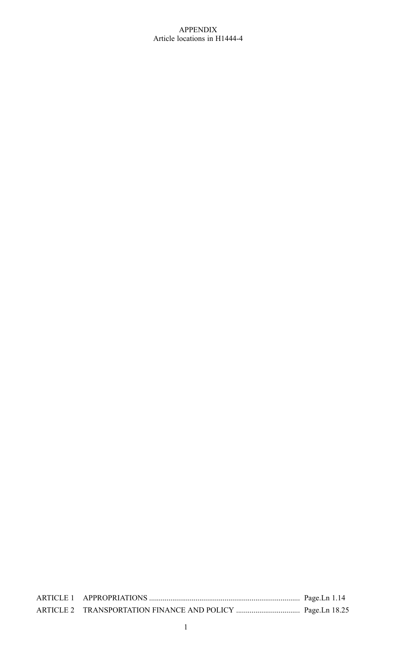## APPENDIX Article locations in H1444-4